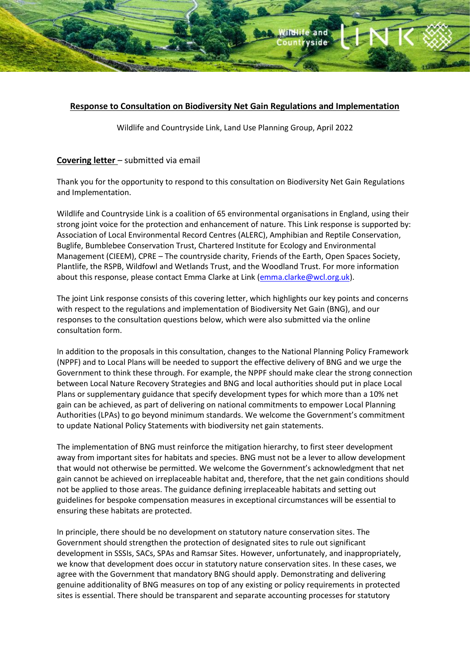# and 1 rvside

# **Response to Consultation on Biodiversity Net Gain Regulations and Implementation**

Wildlife and Countryside Link, Land Use Planning Group, April 2022

# **Covering letter** – submitted via email

Thank you for the opportunity to respond to this consultation on Biodiversity Net Gain Regulations and Implementation.

Wildlife and Countryside Link is a coalition of 65 environmental organisations in England, using their strong joint voice for the protection and enhancement of nature. This Link response is supported by: Association of Local Environmental Record Centres (ALERC), Amphibian and Reptile Conservation, Buglife, Bumblebee Conservation Trust, Chartered Institute for Ecology and Environmental Management (CIEEM), CPRE – The countryside charity, Friends of the Earth, Open Spaces Society, Plantlife, the RSPB, Wildfowl and Wetlands Trust, and the Woodland Trust. For more information about this response, please contact Emma Clarke at Link [\(emma.clarke@wcl.org.uk\)](mailto:emma.clarke@wcl.org.uk).

The joint Link response consists of this covering letter, which highlights our key points and concerns with respect to the regulations and implementation of Biodiversity Net Gain (BNG), and our responses to the consultation questions below, which were also submitted via the online consultation form.

In addition to the proposals in this consultation, changes to the National Planning Policy Framework (NPPF) and to Local Plans will be needed to support the effective delivery of BNG and we urge the Government to think these through. For example, the NPPF should make clear the strong connection between Local Nature Recovery Strategies and BNG and local authorities should put in place Local Plans or supplementary guidance that specify development types for which more than a 10% net gain can be achieved, as part of delivering on national commitments to empower Local Planning Authorities (LPAs) to go beyond minimum standards. We welcome the Government's commitment to update National Policy Statements with biodiversity net gain statements.

The implementation of BNG must reinforce the mitigation hierarchy, to first steer development away from important sites for habitats and species. BNG must not be a lever to allow development that would not otherwise be permitted. We welcome the Government's acknowledgment that net gain cannot be achieved on irreplaceable habitat and, therefore, that the net gain conditions should not be applied to those areas. The guidance defining irreplaceable habitats and setting out guidelines for bespoke compensation measures in exceptional circumstances will be essential to ensuring these habitats are protected.

In principle, there should be no development on statutory nature conservation sites. The Government should strengthen the protection of designated sites to rule out significant development in SSSIs, SACs, SPAs and Ramsar Sites. However, unfortunately, and inappropriately, we know that development does occur in statutory nature conservation sites. In these cases, we agree with the Government that mandatory BNG should apply. Demonstrating and delivering genuine additionality of BNG measures on top of any existing or policy requirements in protected sites is essential. There should be transparent and separate accounting processes for statutory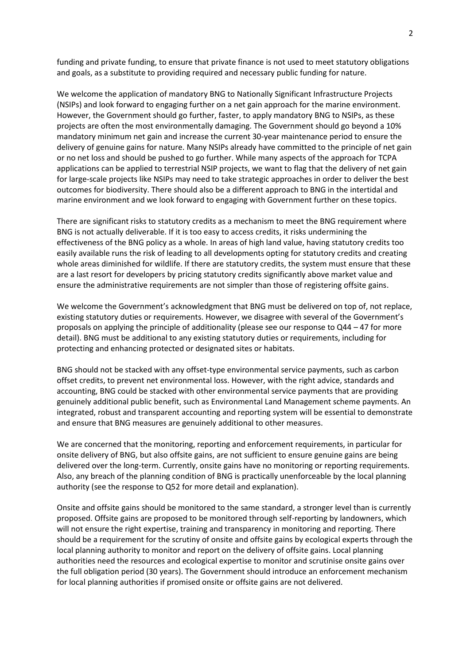funding and private funding, to ensure that private finance is not used to meet statutory obligations and goals, as a substitute to providing required and necessary public funding for nature.

We welcome the application of mandatory BNG to Nationally Significant Infrastructure Projects (NSIPs) and look forward to engaging further on a net gain approach for the marine environment. However, the Government should go further, faster, to apply mandatory BNG to NSIPs, as these projects are often the most environmentally damaging. The Government should go beyond a 10% mandatory minimum net gain and increase the current 30-year maintenance period to ensure the delivery of genuine gains for nature. Many NSIPs already have committed to the principle of net gain or no net loss and should be pushed to go further. While many aspects of the approach for TCPA applications can be applied to terrestrial NSIP projects, we want to flag that the delivery of net gain for large-scale projects like NSIPs may need to take strategic approaches in order to deliver the best outcomes for biodiversity. There should also be a different approach to BNG in the intertidal and marine environment and we look forward to engaging with Government further on these topics.

There are significant risks to statutory credits as a mechanism to meet the BNG requirement where BNG is not actually deliverable. If it is too easy to access credits, it risks undermining the effectiveness of the BNG policy as a whole. In areas of high land value, having statutory credits too easily available runs the risk of leading to all developments opting for statutory credits and creating whole areas diminished for wildlife. If there are statutory credits, the system must ensure that these are a last resort for developers by pricing statutory credits significantly above market value and ensure the administrative requirements are not simpler than those of registering offsite gains.

We welcome the Government's acknowledgment that BNG must be delivered on top of, not replace, existing statutory duties or requirements. However, we disagree with several of the Government's proposals on applying the principle of additionality (please see our response to Q44 – 47 for more detail). BNG must be additional to any existing statutory duties or requirements, including for protecting and enhancing protected or designated sites or habitats.

BNG should not be stacked with any offset-type environmental service payments, such as carbon offset credits, to prevent net environmental loss. However, with the right advice, standards and accounting, BNG could be stacked with other environmental service payments that are providing genuinely additional public benefit, such as Environmental Land Management scheme payments. An integrated, robust and transparent accounting and reporting system will be essential to demonstrate and ensure that BNG measures are genuinely additional to other measures.

We are concerned that the monitoring, reporting and enforcement requirements, in particular for onsite delivery of BNG, but also offsite gains, are not sufficient to ensure genuine gains are being delivered over the long-term. Currently, onsite gains have no monitoring or reporting requirements. Also, any breach of the planning condition of BNG is practically unenforceable by the local planning authority (see the response to Q52 for more detail and explanation).

Onsite and offsite gains should be monitored to the same standard, a stronger level than is currently proposed. Offsite gains are proposed to be monitored through self-reporting by landowners, which will not ensure the right expertise, training and transparency in monitoring and reporting. There should be a requirement for the scrutiny of onsite and offsite gains by ecological experts through the local planning authority to monitor and report on the delivery of offsite gains. Local planning authorities need the resources and ecological expertise to monitor and scrutinise onsite gains over the full obligation period (30 years). The Government should introduce an enforcement mechanism for local planning authorities if promised onsite or offsite gains are not delivered.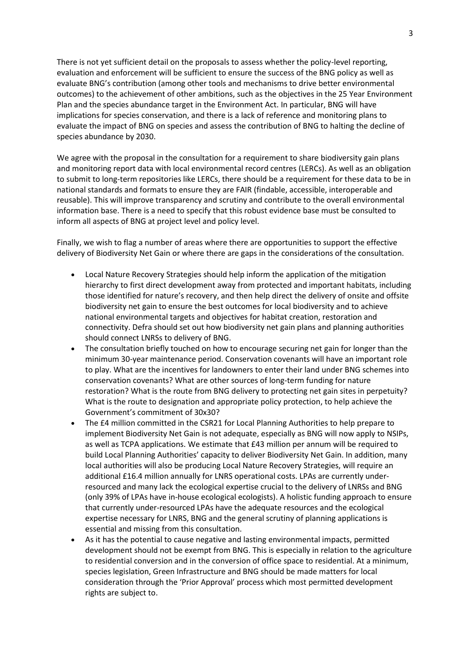There is not yet sufficient detail on the proposals to assess whether the policy-level reporting, evaluation and enforcement will be sufficient to ensure the success of the BNG policy as well as evaluate BNG's contribution (among other tools and mechanisms to drive better environmental outcomes) to the achievement of other ambitions, such as the objectives in the 25 Year Environment Plan and the species abundance target in the Environment Act. In particular, BNG will have implications for species conservation, and there is a lack of reference and monitoring plans to evaluate the impact of BNG on species and assess the contribution of BNG to halting the decline of species abundance by 2030.

We agree with the proposal in the consultation for a requirement to share biodiversity gain plans and monitoring report data with local environmental record centres (LERCs). As well as an obligation to submit to long-term repositories like LERCs, there should be a requirement for these data to be in national standards and formats to ensure they are FAIR (findable, accessible, interoperable and reusable). This will improve transparency and scrutiny and contribute to the overall environmental information base. There is a need to specify that this robust evidence base must be consulted to inform all aspects of BNG at project level and policy level.

Finally, we wish to flag a number of areas where there are opportunities to support the effective delivery of Biodiversity Net Gain or where there are gaps in the considerations of the consultation.

- Local Nature Recovery Strategies should help inform the application of the mitigation hierarchy to first direct development away from protected and important habitats, including those identified for nature's recovery, and then help direct the delivery of onsite and offsite biodiversity net gain to ensure the best outcomes for local biodiversity and to achieve national environmental targets and objectives for habitat creation, restoration and connectivity. Defra should set out how biodiversity net gain plans and planning authorities should connect LNRSs to delivery of BNG.
- The consultation briefly touched on how to encourage securing net gain for longer than the minimum 30-year maintenance period. Conservation covenants will have an important role to play. What are the incentives for landowners to enter their land under BNG schemes into conservation covenants? What are other sources of long-term funding for nature restoration? What is the route from BNG delivery to protecting net gain sites in perpetuity? What is the route to designation and appropriate policy protection, to help achieve the Government's commitment of 30x30?
- The £4 million committed in the CSR21 for Local Planning Authorities to help prepare to implement Biodiversity Net Gain is not adequate, especially as BNG will now apply to NSIPs, as well as TCPA applications. We estimate that £43 million per annum will be required to build Local Planning Authorities' capacity to deliver Biodiversity Net Gain. In addition, many local authorities will also be producing Local Nature Recovery Strategies, will require an additional £16.4 million annually for LNRS operational costs. LPAs are currently underresourced and many lack the ecological expertise crucial to the delivery of LNRSs and BNG (only 39% of LPAs have in-house ecological ecologists). A holistic funding approach to ensure that currently under-resourced LPAs have the adequate resources and the ecological expertise necessary for LNRS, BNG and the general scrutiny of planning applications is essential and missing from this consultation.
- As it has the potential to cause negative and lasting environmental impacts, permitted development should not be exempt from BNG. This is especially in relation to the agriculture to residential conversion and in the conversion of office space to residential. At a minimum, species legislation, Green Infrastructure and BNG should be made matters for local consideration through the 'Prior Approval' process which most permitted development rights are subject to.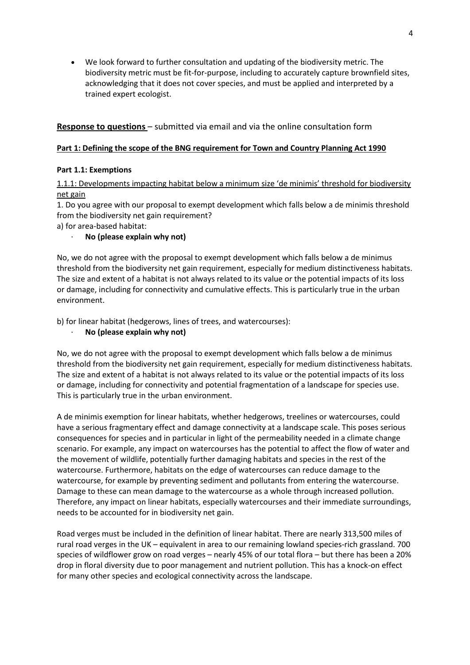• We look forward to further consultation and updating of the biodiversity metric. The biodiversity metric must be fit-for-purpose, including to accurately capture brownfield sites, acknowledging that it does not cover species, and must be applied and interpreted by a trained expert ecologist.

# **Response to questions** – submitted via email and via the online consultation form

# **Part 1: Defining the scope of the BNG requirement for Town and Country Planning Act 1990**

# **Part 1.1: Exemptions**

1.1.1: Developments impacting habitat below a minimum size 'de minimis' threshold for biodiversity net gain

1. Do you agree with our proposal to exempt development which falls below a de minimis threshold from the biodiversity net gain requirement?

a) for area-based habitat:

· **No (please explain why not)**

No, we do not agree with the proposal to exempt development which falls below a de minimus threshold from the biodiversity net gain requirement, especially for medium distinctiveness habitats. The size and extent of a habitat is not always related to its value or the potential impacts of its loss or damage, including for connectivity and cumulative effects. This is particularly true in the urban environment.

b) for linear habitat (hedgerows, lines of trees, and watercourses):

# · **No (please explain why not)**

No, we do not agree with the proposal to exempt development which falls below a de minimus threshold from the biodiversity net gain requirement, especially for medium distinctiveness habitats. The size and extent of a habitat is not always related to its value or the potential impacts of its loss or damage, including for connectivity and potential fragmentation of a landscape for species use. This is particularly true in the urban environment.

A de minimis exemption for linear habitats, whether hedgerows, treelines or watercourses, could have a serious fragmentary effect and damage connectivity at a landscape scale. This poses serious consequences for species and in particular in light of the permeability needed in a climate change scenario. For example, any impact on watercourses has the potential to affect the flow of water and the movement of wildlife, potentially further damaging habitats and species in the rest of the watercourse. Furthermore, habitats on the edge of watercourses can reduce damage to the watercourse, for example by preventing sediment and pollutants from entering the watercourse. Damage to these can mean damage to the watercourse as a whole through increased pollution. Therefore, any impact on linear habitats, especially watercourses and their immediate surroundings, needs to be accounted for in biodiversity net gain.

Road verges must be included in the definition of linear habitat. There are nearly 313,500 miles of rural road verges in the UK – equivalent in area to our remaining lowland species-rich grassland. 700 species of wildflower grow on road verges – nearly 45% of our total flora – but there has been a 20% drop in floral diversity due to poor management and nutrient pollution. This has a knock-on effect for many other species and ecological connectivity across the landscape.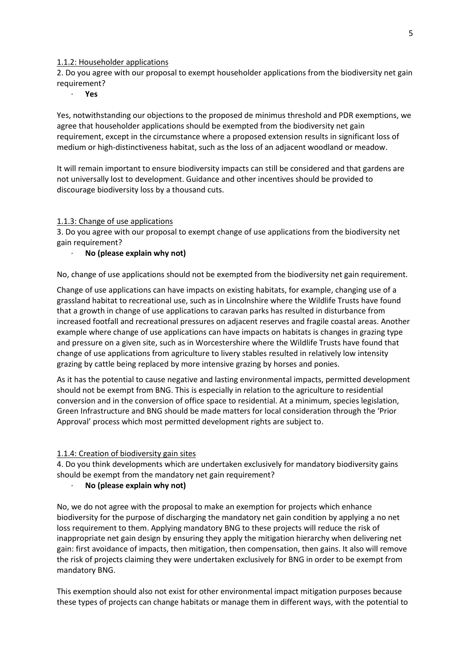#### 1.1.2: Householder applications

2. Do you agree with our proposal to exempt householder applications from the biodiversity net gain requirement?

· **Yes**

Yes, notwithstanding our objections to the proposed de minimus threshold and PDR exemptions, we agree that householder applications should be exempted from the biodiversity net gain requirement, except in the circumstance where a proposed extension results in significant loss of medium or high-distinctiveness habitat, such as the loss of an adjacent woodland or meadow.

It will remain important to ensure biodiversity impacts can still be considered and that gardens are not universally lost to development. Guidance and other incentives should be provided to discourage biodiversity loss by a thousand cuts.

#### 1.1.3: Change of use applications

3. Do you agree with our proposal to exempt change of use applications from the biodiversity net gain requirement?

#### · **No (please explain why not)**

No, change of use applications should not be exempted from the biodiversity net gain requirement.

Change of use applications can have impacts on existing habitats, for example, changing use of a grassland habitat to recreational use, such as in Lincolnshire where the Wildlife Trusts have found that a growth in change of use applications to caravan parks has resulted in disturbance from increased footfall and recreational pressures on adjacent reserves and fragile coastal areas. Another example where change of use applications can have impacts on habitats is changes in grazing type and pressure on a given site, such as in Worcestershire where the Wildlife Trusts have found that change of use applications from agriculture to livery stables resulted in relatively low intensity grazing by cattle being replaced by more intensive grazing by horses and ponies.

As it has the potential to cause negative and lasting environmental impacts, permitted development should not be exempt from BNG. This is especially in relation to the agriculture to residential conversion and in the conversion of office space to residential. At a minimum, species legislation, Green Infrastructure and BNG should be made matters for local consideration through the 'Prior Approval' process which most permitted development rights are subject to.

#### 1.1.4: Creation of biodiversity gain sites

4. Do you think developments which are undertaken exclusively for mandatory biodiversity gains should be exempt from the mandatory net gain requirement?

#### · **No (please explain why not)**

No, we do not agree with the proposal to make an exemption for projects which enhance biodiversity for the purpose of discharging the mandatory net gain condition by applying a no net loss requirement to them. Applying mandatory BNG to these projects will reduce the risk of inappropriate net gain design by ensuring they apply the mitigation hierarchy when delivering net gain: first avoidance of impacts, then mitigation, then compensation, then gains. It also will remove the risk of projects claiming they were undertaken exclusively for BNG in order to be exempt from mandatory BNG.

This exemption should also not exist for other environmental impact mitigation purposes because these types of projects can change habitats or manage them in different ways, with the potential to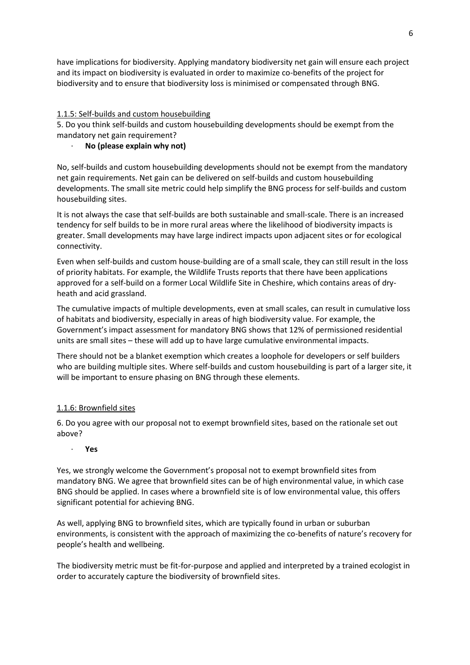have implications for biodiversity. Applying mandatory biodiversity net gain will ensure each project and its impact on biodiversity is evaluated in order to maximize co-benefits of the project for biodiversity and to ensure that biodiversity loss is minimised or compensated through BNG.

# 1.1.5: Self-builds and custom housebuilding

5. Do you think self-builds and custom housebuilding developments should be exempt from the mandatory net gain requirement?

## · **No (please explain why not)**

No, self-builds and custom housebuilding developments should not be exempt from the mandatory net gain requirements. Net gain can be delivered on self-builds and custom housebuilding developments. The small site metric could help simplify the BNG process for self-builds and custom housebuilding sites.

It is not always the case that self-builds are both sustainable and small-scale. There is an increased tendency for self builds to be in more rural areas where the likelihood of biodiversity impacts is greater. Small developments may have large indirect impacts upon adjacent sites or for ecological connectivity.

Even when self-builds and custom house-building are of a small scale, they can still result in the loss of priority habitats. For example, the Wildlife Trusts reports that there have been applications approved for a self-build on a former Local Wildlife Site in Cheshire, which contains areas of dryheath and acid grassland.

The cumulative impacts of multiple developments, even at small scales, can result in cumulative loss of habitats and biodiversity, especially in areas of high biodiversity value. For example, the Government's impact assessment for mandatory BNG shows that 12% of permissioned residential units are small sites – these will add up to have large cumulative environmental impacts.

There should not be a blanket exemption which creates a loophole for developers or self builders who are building multiple sites. Where self-builds and custom housebuilding is part of a larger site, it will be important to ensure phasing on BNG through these elements.

# 1.1.6: Brownfield sites

6. Do you agree with our proposal not to exempt brownfield sites, based on the rationale set out above?

### · **Yes**

Yes, we strongly welcome the Government's proposal not to exempt brownfield sites from mandatory BNG. We agree that brownfield sites can be of high environmental value, in which case BNG should be applied. In cases where a brownfield site is of low environmental value, this offers significant potential for achieving BNG.

As well, applying BNG to brownfield sites, which are typically found in urban or suburban environments, is consistent with the approach of maximizing the co-benefits of nature's recovery for people's health and wellbeing.

The biodiversity metric must be fit-for-purpose and applied and interpreted by a trained ecologist in order to accurately capture the biodiversity of brownfield sites.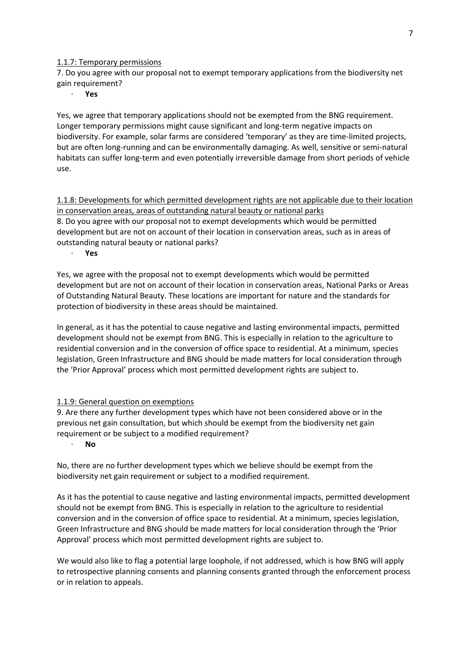1.1.7: Temporary permissions

7. Do you agree with our proposal not to exempt temporary applications from the biodiversity net gain requirement?

· **Yes**

Yes, we agree that temporary applications should not be exempted from the BNG requirement. Longer temporary permissions might cause significant and long-term negative impacts on biodiversity. For example, solar farms are considered 'temporary' as they are time-limited projects, but are often long-running and can be environmentally damaging. As well, sensitive or semi-natural habitats can suffer long-term and even potentially irreversible damage from short periods of vehicle use.

1.1.8: Developments for which permitted development rights are not applicable due to their location in conservation areas, areas of outstanding natural beauty or national parks 8. Do you agree with our proposal not to exempt developments which would be permitted development but are not on account of their location in conservation areas, such as in areas of outstanding natural beauty or national parks?

· **Yes**

Yes, we agree with the proposal not to exempt developments which would be permitted development but are not on account of their location in conservation areas, National Parks or Areas of Outstanding Natural Beauty. These locations are important for nature and the standards for protection of biodiversity in these areas should be maintained.

In general, as it has the potential to cause negative and lasting environmental impacts, permitted development should not be exempt from BNG. This is especially in relation to the agriculture to residential conversion and in the conversion of office space to residential. At a minimum, species legislation, Green Infrastructure and BNG should be made matters for local consideration through the 'Prior Approval' process which most permitted development rights are subject to.

### 1.1.9: General question on exemptions

9. Are there any further development types which have not been considered above or in the previous net gain consultation, but which should be exempt from the biodiversity net gain requirement or be subject to a modified requirement?

### · **No**

No, there are no further development types which we believe should be exempt from the biodiversity net gain requirement or subject to a modified requirement.

As it has the potential to cause negative and lasting environmental impacts, permitted development should not be exempt from BNG. This is especially in relation to the agriculture to residential conversion and in the conversion of office space to residential. At a minimum, species legislation, Green Infrastructure and BNG should be made matters for local consideration through the 'Prior Approval' process which most permitted development rights are subject to.

We would also like to flag a potential large loophole, if not addressed, which is how BNG will apply to retrospective planning consents and planning consents granted through the enforcement process or in relation to appeals.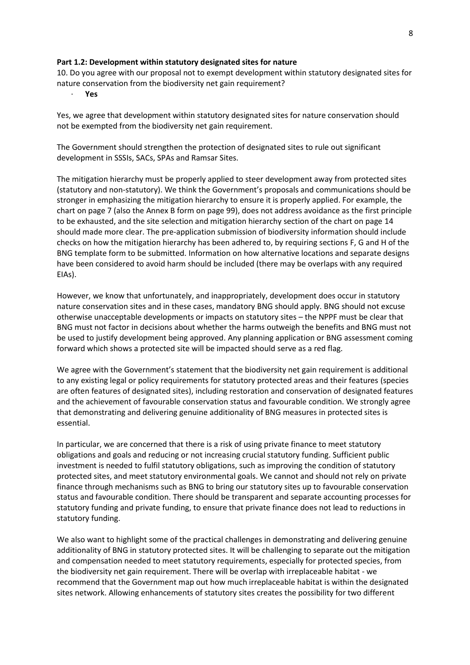#### **Part 1.2: Development within statutory designated sites for nature**

10. Do you agree with our proposal not to exempt development within statutory designated sites for nature conservation from the biodiversity net gain requirement?

· **Yes**

Yes, we agree that development within statutory designated sites for nature conservation should not be exempted from the biodiversity net gain requirement.

The Government should strengthen the protection of designated sites to rule out significant development in SSSIs, SACs, SPAs and Ramsar Sites.

The mitigation hierarchy must be properly applied to steer development away from protected sites (statutory and non-statutory). We think the Government's proposals and communications should be stronger in emphasizing the mitigation hierarchy to ensure it is properly applied. For example, the chart on page 7 (also the Annex B form on page 99), does not address avoidance as the first principle to be exhausted, and the site selection and mitigation hierarchy section of the chart on page 14 should made more clear. The pre-application submission of biodiversity information should include checks on how the mitigation hierarchy has been adhered to, by requiring sections F, G and H of the BNG template form to be submitted. Information on how alternative locations and separate designs have been considered to avoid harm should be included (there may be overlaps with any required EIAs).

However, we know that unfortunately, and inappropriately, development does occur in statutory nature conservation sites and in these cases, mandatory BNG should apply. BNG should not excuse otherwise unacceptable developments or impacts on statutory sites – the NPPF must be clear that BNG must not factor in decisions about whether the harms outweigh the benefits and BNG must not be used to justify development being approved. Any planning application or BNG assessment coming forward which shows a protected site will be impacted should serve as a red flag.

We agree with the Government's statement that the biodiversity net gain requirement is additional to any existing legal or policy requirements for statutory protected areas and their features (species are often features of designated sites), including restoration and conservation of designated features and the achievement of favourable conservation status and favourable condition. We strongly agree that demonstrating and delivering genuine additionality of BNG measures in protected sites is essential.

In particular, we are concerned that there is a risk of using private finance to meet statutory obligations and goals and reducing or not increasing crucial statutory funding. Sufficient public investment is needed to fulfil statutory obligations, such as improving the condition of statutory protected sites, and meet statutory environmental goals. We cannot and should not rely on private finance through mechanisms such as BNG to bring our statutory sites up to favourable conservation status and favourable condition. There should be transparent and separate accounting processes for statutory funding and private funding, to ensure that private finance does not lead to reductions in statutory funding.

We also want to highlight some of the practical challenges in demonstrating and delivering genuine additionality of BNG in statutory protected sites. It will be challenging to separate out the mitigation and compensation needed to meet statutory requirements, especially for protected species, from the biodiversity net gain requirement. There will be overlap with irreplaceable habitat - we recommend that the Government map out how much irreplaceable habitat is within the designated sites network. Allowing enhancements of statutory sites creates the possibility for two different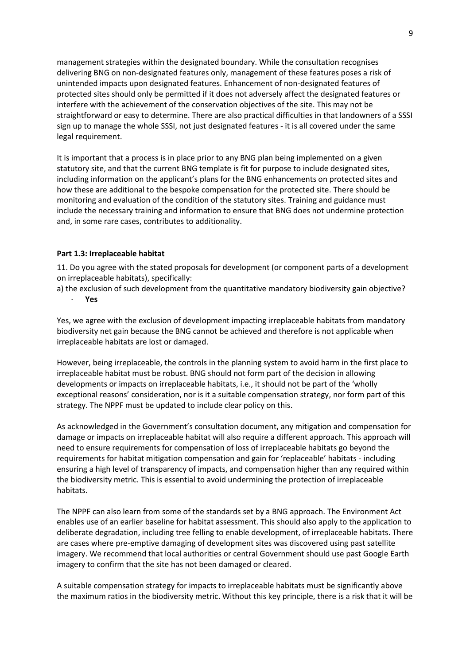management strategies within the designated boundary. While the consultation recognises delivering BNG on non-designated features only, management of these features poses a risk of unintended impacts upon designated features. Enhancement of non-designated features of protected sites should only be permitted if it does not adversely affect the designated features or interfere with the achievement of the conservation objectives of the site. This may not be straightforward or easy to determine. There are also practical difficulties in that landowners of a SSSI sign up to manage the whole SSSI, not just designated features - it is all covered under the same legal requirement.

It is important that a process is in place prior to any BNG plan being implemented on a given statutory site, and that the current BNG template is fit for purpose to include designated sites, including information on the applicant's plans for the BNG enhancements on protected sites and how these are additional to the bespoke compensation for the protected site. There should be monitoring and evaluation of the condition of the statutory sites. Training and guidance must include the necessary training and information to ensure that BNG does not undermine protection and, in some rare cases, contributes to additionality.

#### **Part 1.3: Irreplaceable habitat**

11. Do you agree with the stated proposals for development (or component parts of a development on irreplaceable habitats), specifically:

a) the exclusion of such development from the quantitative mandatory biodiversity gain objective? · **Yes**

Yes, we agree with the exclusion of development impacting irreplaceable habitats from mandatory biodiversity net gain because the BNG cannot be achieved and therefore is not applicable when irreplaceable habitats are lost or damaged.

However, being irreplaceable, the controls in the planning system to avoid harm in the first place to irreplaceable habitat must be robust. BNG should not form part of the decision in allowing developments or impacts on irreplaceable habitats, i.e., it should not be part of the 'wholly exceptional reasons' consideration, nor is it a suitable compensation strategy, nor form part of this strategy. The NPPF must be updated to include clear policy on this.

As acknowledged in the Government's consultation document, any mitigation and compensation for damage or impacts on irreplaceable habitat will also require a different approach. This approach will need to ensure requirements for compensation of loss of irreplaceable habitats go beyond the requirements for habitat mitigation compensation and gain for 'replaceable' habitats - including ensuring a high level of transparency of impacts, and compensation higher than any required within the biodiversity metric. This is essential to avoid undermining the protection of irreplaceable habitats.

The NPPF can also learn from some of the standards set by a BNG approach. The Environment Act enables use of an earlier baseline for habitat assessment. This should also apply to the application to deliberate degradation, including tree felling to enable development, of irreplaceable habitats. There are cases where pre-emptive damaging of development sites was discovered using past satellite imagery. We recommend that local authorities or central Government should use past Google Earth imagery to confirm that the site has not been damaged or cleared.

A suitable compensation strategy for impacts to irreplaceable habitats must be significantly above the maximum ratios in the biodiversity metric. Without this key principle, there is a risk that it will be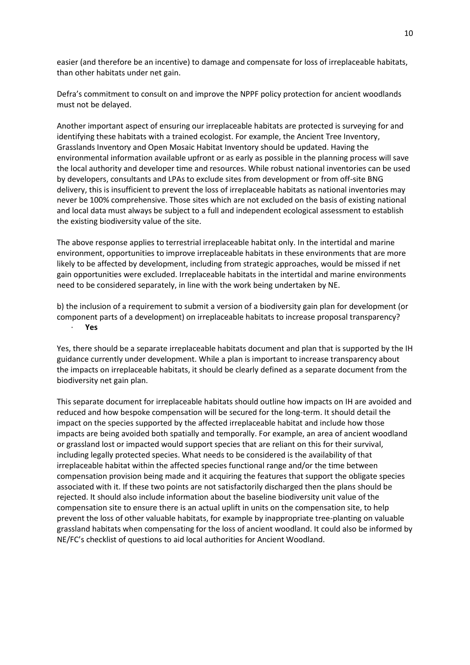easier (and therefore be an incentive) to damage and compensate for loss of irreplaceable habitats, than other habitats under net gain.

Defra's commitment to consult on and improve the NPPF policy protection for ancient woodlands must not be delayed.

Another important aspect of ensuring our irreplaceable habitats are protected is surveying for and identifying these habitats with a trained ecologist. For example, the Ancient Tree Inventory, Grasslands Inventory and Open Mosaic Habitat Inventory should be updated. Having the environmental information available upfront or as early as possible in the planning process will save the local authority and developer time and resources. While robust national inventories can be used by developers, consultants and LPAs to exclude sites from development or from off-site BNG delivery, this is insufficient to prevent the loss of irreplaceable habitats as national inventories may never be 100% comprehensive. Those sites which are not excluded on the basis of existing national and local data must always be subject to a full and independent ecological assessment to establish the existing biodiversity value of the site.

The above response applies to terrestrial irreplaceable habitat only. In the intertidal and marine environment, opportunities to improve irreplaceable habitats in these environments that are more likely to be affected by development, including from strategic approaches, would be missed if net gain opportunities were excluded. Irreplaceable habitats in the intertidal and marine environments need to be considered separately, in line with the work being undertaken by NE.

b) the inclusion of a requirement to submit a version of a biodiversity gain plan for development (or component parts of a development) on irreplaceable habitats to increase proposal transparency? · **Yes**

Yes, there should be a separate irreplaceable habitats document and plan that is supported by the IH guidance currently under development. While a plan is important to increase transparency about the impacts on irreplaceable habitats, it should be clearly defined as a separate document from the biodiversity net gain plan.

This separate document for irreplaceable habitats should outline how impacts on IH are avoided and reduced and how bespoke compensation will be secured for the long-term. It should detail the impact on the species supported by the affected irreplaceable habitat and include how those impacts are being avoided both spatially and temporally. For example, an area of ancient woodland or grassland lost or impacted would support species that are reliant on this for their survival, including legally protected species. What needs to be considered is the availability of that irreplaceable habitat within the affected species functional range and/or the time between compensation provision being made and it acquiring the features that support the obligate species associated with it. If these two points are not satisfactorily discharged then the plans should be rejected. It should also include information about the baseline biodiversity unit value of the compensation site to ensure there is an actual uplift in units on the compensation site, to help prevent the loss of other valuable habitats, for example by inappropriate tree-planting on valuable grassland habitats when compensating for the loss of ancient woodland. It could also be informed by NE/FC's checklist of questions to aid local authorities for Ancient Woodland.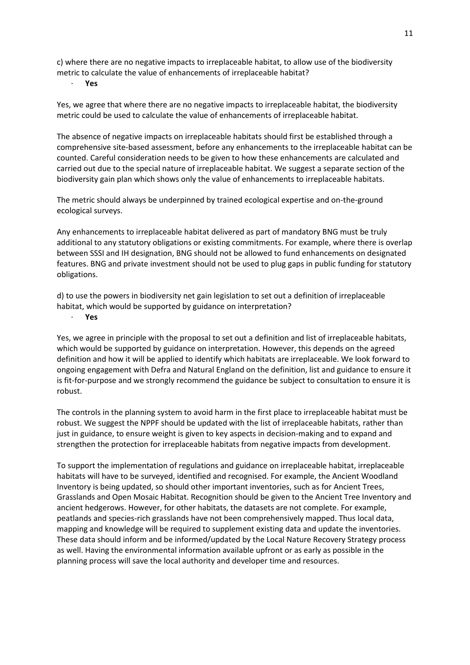c) where there are no negative impacts to irreplaceable habitat, to allow use of the biodiversity metric to calculate the value of enhancements of irreplaceable habitat?

· **Yes**

Yes, we agree that where there are no negative impacts to irreplaceable habitat, the biodiversity metric could be used to calculate the value of enhancements of irreplaceable habitat.

The absence of negative impacts on irreplaceable habitats should first be established through a comprehensive site-based assessment, before any enhancements to the irreplaceable habitat can be counted. Careful consideration needs to be given to how these enhancements are calculated and carried out due to the special nature of irreplaceable habitat. We suggest a separate section of the biodiversity gain plan which shows only the value of enhancements to irreplaceable habitats.

The metric should always be underpinned by trained ecological expertise and on-the-ground ecological surveys.

Any enhancements to irreplaceable habitat delivered as part of mandatory BNG must be truly additional to any statutory obligations or existing commitments. For example, where there is overlap between SSSI and IH designation, BNG should not be allowed to fund enhancements on designated features. BNG and private investment should not be used to plug gaps in public funding for statutory obligations.

d) to use the powers in biodiversity net gain legislation to set out a definition of irreplaceable habitat, which would be supported by guidance on interpretation?

· **Yes**

Yes, we agree in principle with the proposal to set out a definition and list of irreplaceable habitats, which would be supported by guidance on interpretation. However, this depends on the agreed definition and how it will be applied to identify which habitats are irreplaceable. We look forward to ongoing engagement with Defra and Natural England on the definition, list and guidance to ensure it is fit-for-purpose and we strongly recommend the guidance be subject to consultation to ensure it is robust.

The controls in the planning system to avoid harm in the first place to irreplaceable habitat must be robust. We suggest the NPPF should be updated with the list of irreplaceable habitats, rather than just in guidance, to ensure weight is given to key aspects in decision-making and to expand and strengthen the protection for irreplaceable habitats from negative impacts from development.

To support the implementation of regulations and guidance on irreplaceable habitat, irreplaceable habitats will have to be surveyed, identified and recognised. For example, the Ancient Woodland Inventory is being updated, so should other important inventories, such as for Ancient Trees, Grasslands and Open Mosaic Habitat. Recognition should be given to the Ancient Tree Inventory and ancient hedgerows. However, for other habitats, the datasets are not complete. For example, peatlands and species-rich grasslands have not been comprehensively mapped. Thus local data, mapping and knowledge will be required to supplement existing data and update the inventories. These data should inform and be informed/updated by the Local Nature Recovery Strategy process as well. Having the environmental information available upfront or as early as possible in the planning process will save the local authority and developer time and resources.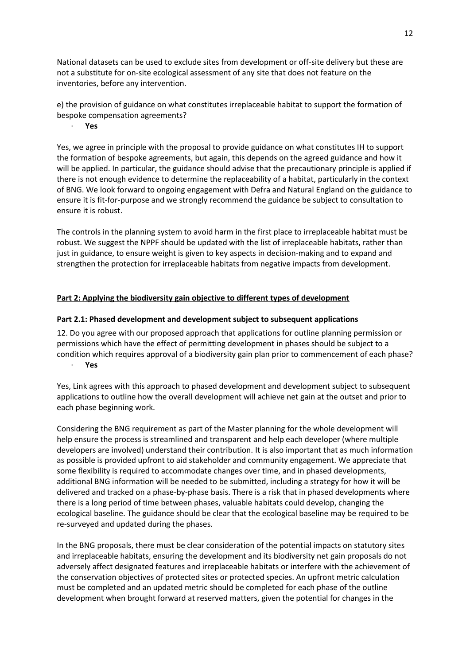National datasets can be used to exclude sites from development or off-site delivery but these are not a substitute for on-site ecological assessment of any site that does not feature on the inventories, before any intervention.

e) the provision of guidance on what constitutes irreplaceable habitat to support the formation of bespoke compensation agreements?

#### · **Yes**

Yes, we agree in principle with the proposal to provide guidance on what constitutes IH to support the formation of bespoke agreements, but again, this depends on the agreed guidance and how it will be applied. In particular, the guidance should advise that the precautionary principle is applied if there is not enough evidence to determine the replaceability of a habitat, particularly in the context of BNG. We look forward to ongoing engagement with Defra and Natural England on the guidance to ensure it is fit-for-purpose and we strongly recommend the guidance be subject to consultation to ensure it is robust.

The controls in the planning system to avoid harm in the first place to irreplaceable habitat must be robust. We suggest the NPPF should be updated with the list of irreplaceable habitats, rather than just in guidance, to ensure weight is given to key aspects in decision-making and to expand and strengthen the protection for irreplaceable habitats from negative impacts from development.

## **Part 2: Applying the biodiversity gain objective to different types of development**

### **Part 2.1: Phased development and development subject to subsequent applications**

12. Do you agree with our proposed approach that applications for outline planning permission or permissions which have the effect of permitting development in phases should be subject to a condition which requires approval of a biodiversity gain plan prior to commencement of each phase? · **Yes**

Yes, Link agrees with this approach to phased development and development subject to subsequent applications to outline how the overall development will achieve net gain at the outset and prior to each phase beginning work.

Considering the BNG requirement as part of the Master planning for the whole development will help ensure the process is streamlined and transparent and help each developer (where multiple developers are involved) understand their contribution. It is also important that as much information as possible is provided upfront to aid stakeholder and community engagement. We appreciate that some flexibility is required to accommodate changes over time, and in phased developments, additional BNG information will be needed to be submitted, including a strategy for how it will be delivered and tracked on a phase-by-phase basis. There is a risk that in phased developments where there is a long period of time between phases, valuable habitats could develop, changing the ecological baseline. The guidance should be clear that the ecological baseline may be required to be re-surveyed and updated during the phases.

In the BNG proposals, there must be clear consideration of the potential impacts on statutory sites and irreplaceable habitats, ensuring the development and its biodiversity net gain proposals do not adversely affect designated features and irreplaceable habitats or interfere with the achievement of the conservation objectives of protected sites or protected species. An upfront metric calculation must be completed and an updated metric should be completed for each phase of the outline development when brought forward at reserved matters, given the potential for changes in the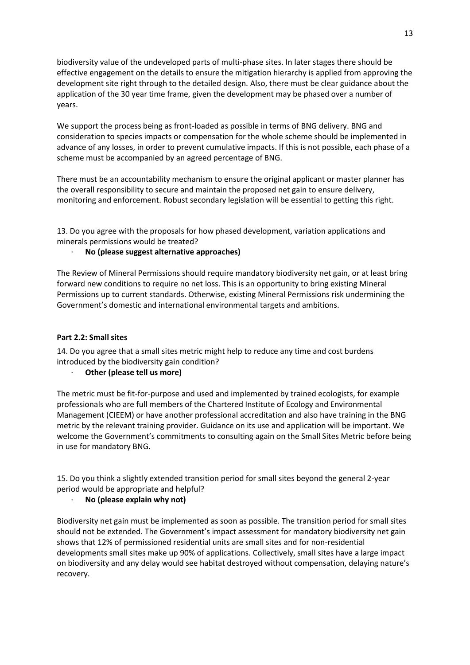biodiversity value of the undeveloped parts of multi-phase sites. In later stages there should be effective engagement on the details to ensure the mitigation hierarchy is applied from approving the development site right through to the detailed design. Also, there must be clear guidance about the application of the 30 year time frame, given the development may be phased over a number of years.

We support the process being as front-loaded as possible in terms of BNG delivery. BNG and consideration to species impacts or compensation for the whole scheme should be implemented in advance of any losses, in order to prevent cumulative impacts. If this is not possible, each phase of a scheme must be accompanied by an agreed percentage of BNG.

There must be an accountability mechanism to ensure the original applicant or master planner has the overall responsibility to secure and maintain the proposed net gain to ensure delivery, monitoring and enforcement. Robust secondary legislation will be essential to getting this right.

13. Do you agree with the proposals for how phased development, variation applications and minerals permissions would be treated?

## · **No (please suggest alternative approaches)**

The Review of Mineral Permissions should require mandatory biodiversity net gain, or at least bring forward new conditions to require no net loss. This is an opportunity to bring existing Mineral Permissions up to current standards. Otherwise, existing Mineral Permissions risk undermining the Government's domestic and international environmental targets and ambitions.

## **Part 2.2: Small sites**

14. Do you agree that a small sites metric might help to reduce any time and cost burdens introduced by the biodiversity gain condition?

**Other (please tell us more)** 

The metric must be fit-for-purpose and used and implemented by trained ecologists, for example professionals who are full members of the Chartered Institute of Ecology and Environmental Management (CIEEM) or have another professional accreditation and also have training in the BNG metric by the relevant training provider. Guidance on its use and application will be important. We welcome the Government's commitments to consulting again on the Small Sites Metric before being in use for mandatory BNG.

15. Do you think a slightly extended transition period for small sites beyond the general 2-year period would be appropriate and helpful?

# · **No (please explain why not)**

Biodiversity net gain must be implemented as soon as possible. The transition period for small sites should not be extended. The Government's impact assessment for mandatory biodiversity net gain shows that 12% of permissioned residential units are small sites and for non-residential developments small sites make up 90% of applications. Collectively, small sites have a large impact on biodiversity and any delay would see habitat destroyed without compensation, delaying nature's recovery.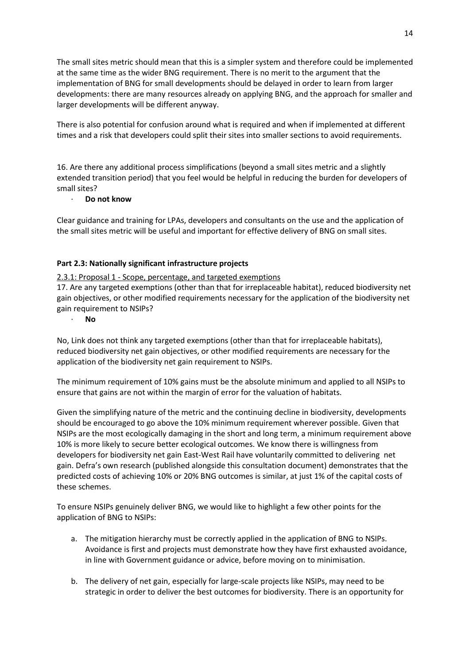The small sites metric should mean that this is a simpler system and therefore could be implemented at the same time as the wider BNG requirement. There is no merit to the argument that the implementation of BNG for small developments should be delayed in order to learn from larger developments: there are many resources already on applying BNG, and the approach for smaller and larger developments will be different anyway.

There is also potential for confusion around what is required and when if implemented at different times and a risk that developers could split their sites into smaller sections to avoid requirements.

16. Are there any additional process simplifications (beyond a small sites metric and a slightly extended transition period) that you feel would be helpful in reducing the burden for developers of small sites?

## · **Do not know**

Clear guidance and training for LPAs, developers and consultants on the use and the application of the small sites metric will be useful and important for effective delivery of BNG on small sites.

## **Part 2.3: Nationally significant infrastructure projects**

2.3.1: Proposal 1 - Scope, percentage, and targeted exemptions

17. Are any targeted exemptions (other than that for irreplaceable habitat), reduced biodiversity net gain objectives, or other modified requirements necessary for the application of the biodiversity net gain requirement to NSIPs?

#### · **No**

No, Link does not think any targeted exemptions (other than that for irreplaceable habitats), reduced biodiversity net gain objectives, or other modified requirements are necessary for the application of the biodiversity net gain requirement to NSIPs.

The minimum requirement of 10% gains must be the absolute minimum and applied to all NSIPs to ensure that gains are not within the margin of error for the valuation of habitats.

Given the simplifying nature of the metric and the continuing decline in biodiversity, developments should be encouraged to go above the 10% minimum requirement wherever possible. Given that NSIPs are the most ecologically damaging in the short and long term, a minimum requirement above 10% is more likely to secure better ecological outcomes. We know there is willingness from developers for biodiversity net gain East-West Rail have voluntarily committed to delivering net gain. Defra's own research (published alongside this consultation document) demonstrates that the predicted costs of achieving 10% or 20% BNG outcomes is similar, at just 1% of the capital costs of these schemes.

To ensure NSIPs genuinely deliver BNG, we would like to highlight a few other points for the application of BNG to NSIPs:

- a. The mitigation hierarchy must be correctly applied in the application of BNG to NSIPs. Avoidance is first and projects must demonstrate how they have first exhausted avoidance, in line with Government guidance or advice, before moving on to minimisation.
- b. The delivery of net gain, especially for large-scale projects like NSIPs, may need to be strategic in order to deliver the best outcomes for biodiversity. There is an opportunity for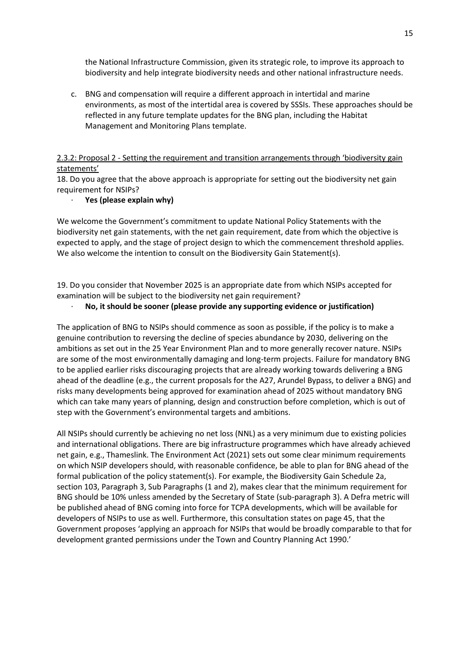the National Infrastructure Commission, given its strategic role, to improve its approach to biodiversity and help integrate biodiversity needs and other national infrastructure needs.

c. BNG and compensation will require a different approach in intertidal and marine environments, as most of the intertidal area is covered by SSSIs. These approaches should be reflected in any future template updates for the BNG plan, including the Habitat Management and Monitoring Plans template.

# 2.3.2: Proposal 2 - Setting the requirement and transition arrangements through 'biodiversity gain statements'

18. Do you agree that the above approach is appropriate for setting out the biodiversity net gain requirement for NSIPs?

### · **Yes (please explain why)**

We welcome the Government's commitment to update National Policy Statements with the biodiversity net gain statements, with the net gain requirement, date from which the objective is expected to apply, and the stage of project design to which the commencement threshold applies. We also welcome the intention to consult on the Biodiversity Gain Statement(s).

19. Do you consider that November 2025 is an appropriate date from which NSIPs accepted for examination will be subject to the biodiversity net gain requirement?

#### · **No, it should be sooner (please provide any supporting evidence or justification)**

The application of BNG to NSIPs should commence as soon as possible, if the policy is to make a genuine contribution to reversing the decline of species abundance by 2030, delivering on the ambitions as set out in the 25 Year Environment Plan and to more generally recover nature. NSIPs are some of the most environmentally damaging and long-term projects. Failure for mandatory BNG to be applied earlier risks discouraging projects that are already working towards delivering a BNG ahead of the deadline (e.g., the current proposals for the A27, Arundel Bypass, to deliver a BNG) and risks many developments being approved for examination ahead of 2025 without mandatory BNG which can take many years of planning, design and construction before completion, which is out of step with the Government's environmental targets and ambitions.

All NSIPs should currently be achieving no net loss (NNL) as a very minimum due to existing policies and international obligations. There are big infrastructure programmes which have already achieved net gain, e.g., Thameslink. The Environment Act (2021) sets out some clear minimum requirements on which NSIP developers should, with reasonable confidence, be able to plan for BNG ahead of the formal publication of the policy statement(s). For example, the Biodiversity Gain Schedule 2a, section 103, Paragraph 3, Sub Paragraphs (1 and 2), makes clear that the minimum requirement for BNG should be 10% unless amended by the Secretary of State (sub-paragraph 3). A Defra metric will be published ahead of BNG coming into force for TCPA developments, which will be available for developers of NSIPs to use as well. Furthermore, this consultation states on page 45, that the Government proposes 'applying an approach for NSIPs that would be broadly comparable to that for development granted permissions under the Town and Country Planning Act 1990.'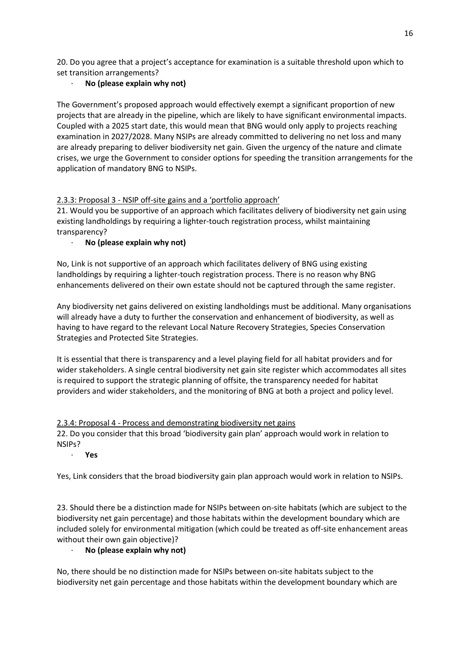20. Do you agree that a project's acceptance for examination is a suitable threshold upon which to set transition arrangements?

# · **No (please explain why not)**

The Government's proposed approach would effectively exempt a significant proportion of new projects that are already in the pipeline, which are likely to have significant environmental impacts. Coupled with a 2025 start date, this would mean that BNG would only apply to projects reaching examination in 2027/2028. Many NSIPs are already committed to delivering no net loss and many are already preparing to deliver biodiversity net gain. Given the urgency of the nature and climate crises, we urge the Government to consider options for speeding the transition arrangements for the application of mandatory BNG to NSIPs.

# 2.3.3: Proposal 3 - NSIP off-site gains and a 'portfolio approach'

21. Would you be supportive of an approach which facilitates delivery of biodiversity net gain using existing landholdings by requiring a lighter-touch registration process, whilst maintaining transparency?

# · **No (please explain why not)**

No, Link is not supportive of an approach which facilitates delivery of BNG using existing landholdings by requiring a lighter-touch registration process. There is no reason why BNG enhancements delivered on their own estate should not be captured through the same register.

Any biodiversity net gains delivered on existing landholdings must be additional. Many organisations will already have a duty to further the conservation and enhancement of biodiversity, as well as having to have regard to the relevant Local Nature Recovery Strategies, Species Conservation Strategies and Protected Site Strategies.

It is essential that there is transparency and a level playing field for all habitat providers and for wider stakeholders. A single central biodiversity net gain site register which accommodates all sites is required to support the strategic planning of offsite, the transparency needed for habitat providers and wider stakeholders, and the monitoring of BNG at both a project and policy level.

# 2.3.4: Proposal 4 - Process and demonstrating biodiversity net gains 22. Do you consider that this broad 'biodiversity gain plan' approach would work in relation to NSIPs?

· **Yes**

Yes, Link considers that the broad biodiversity gain plan approach would work in relation to NSIPs.

23. Should there be a distinction made for NSIPs between on-site habitats (which are subject to the biodiversity net gain percentage) and those habitats within the development boundary which are included solely for environmental mitigation (which could be treated as off-site enhancement areas without their own gain objective)?

# · **No (please explain why not)**

No, there should be no distinction made for NSIPs between on-site habitats subject to the biodiversity net gain percentage and those habitats within the development boundary which are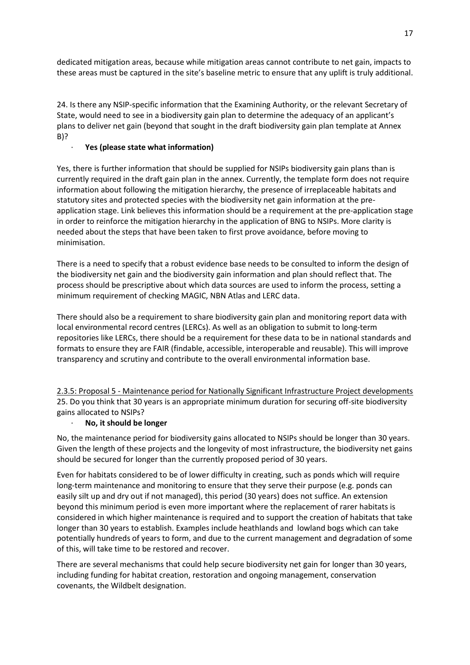dedicated mitigation areas, because while mitigation areas cannot contribute to net gain, impacts to these areas must be captured in the site's baseline metric to ensure that any uplift is truly additional.

24. Is there any NSIP-specific information that the Examining Authority, or the relevant Secretary of State, would need to see in a biodiversity gain plan to determine the adequacy of an applicant's plans to deliver net gain (beyond that sought in the draft biodiversity gain plan template at Annex B)?

# · **Yes (please state what information)**

Yes, there is further information that should be supplied for NSIPs biodiversity gain plans than is currently required in the draft gain plan in the annex. Currently, the template form does not require information about following the mitigation hierarchy, the presence of irreplaceable habitats and statutory sites and protected species with the biodiversity net gain information at the preapplication stage. Link believes this information should be a requirement at the pre-application stage in order to reinforce the mitigation hierarchy in the application of BNG to NSIPs. More clarity is needed about the steps that have been taken to first prove avoidance, before moving to minimisation.

There is a need to specify that a robust evidence base needs to be consulted to inform the design of the biodiversity net gain and the biodiversity gain information and plan should reflect that. The process should be prescriptive about which data sources are used to inform the process, setting a minimum requirement of checking MAGIC, NBN Atlas and LERC data.

There should also be a requirement to share biodiversity gain plan and monitoring report data with local environmental record centres (LERCs). As well as an obligation to submit to long-term repositories like LERCs, there should be a requirement for these data to be in national standards and formats to ensure they are FAIR (findable, accessible, interoperable and reusable). This will improve transparency and scrutiny and contribute to the overall environmental information base.

2.3.5: Proposal 5 - Maintenance period for Nationally Significant Infrastructure Project developments 25. Do you think that 30 years is an appropriate minimum duration for securing off-site biodiversity gains allocated to NSIPs?

# · **No, it should be longer**

No, the maintenance period for biodiversity gains allocated to NSIPs should be longer than 30 years. Given the length of these projects and the longevity of most infrastructure, the biodiversity net gains should be secured for longer than the currently proposed period of 30 years.

Even for habitats considered to be of lower difficulty in creating, such as ponds which will require long-term maintenance and monitoring to ensure that they serve their purpose (e.g. ponds can easily silt up and dry out if not managed), this period (30 years) does not suffice. An extension beyond this minimum period is even more important where the replacement of rarer habitats is considered in which higher maintenance is required and to support the creation of habitats that take longer than 30 years to establish. Examples include heathlands and lowland bogs which can take potentially hundreds of years to form, and due to the current management and degradation of some of this, will take time to be restored and recover.

There are several mechanisms that could help secure biodiversity net gain for longer than 30 years, including funding for habitat creation, restoration and ongoing management, conservation covenants, the Wildbelt designation.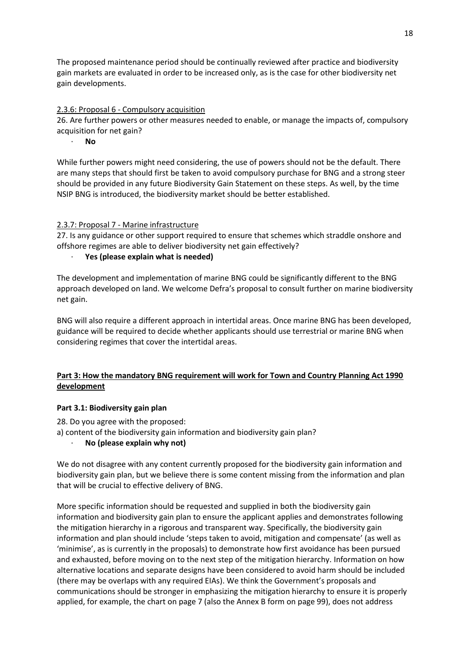The proposed maintenance period should be continually reviewed after practice and biodiversity gain markets are evaluated in order to be increased only, as is the case for other biodiversity net gain developments.

# 2.3.6: Proposal 6 - Compulsory acquisition

26. Are further powers or other measures needed to enable, or manage the impacts of, compulsory acquisition for net gain?

· **No**

While further powers might need considering, the use of powers should not be the default. There are many steps that should first be taken to avoid compulsory purchase for BNG and a strong steer should be provided in any future Biodiversity Gain Statement on these steps. As well, by the time NSIP BNG is introduced, the biodiversity market should be better established.

## 2.3.7: Proposal 7 - Marine infrastructure

27. Is any guidance or other support required to ensure that schemes which straddle onshore and offshore regimes are able to deliver biodiversity net gain effectively?

# · **Yes (please explain what is needed)**

The development and implementation of marine BNG could be significantly different to the BNG approach developed on land. We welcome Defra's proposal to consult further on marine biodiversity net gain.

BNG will also require a different approach in intertidal areas. Once marine BNG has been developed, guidance will be required to decide whether applicants should use terrestrial or marine BNG when considering regimes that cover the intertidal areas.

# **Part 3: How the mandatory BNG requirement will work for Town and Country Planning Act 1990 development**

### **Part 3.1: Biodiversity gain plan**

28. Do you agree with the proposed:

- a) content of the biodiversity gain information and biodiversity gain plan?
	- · **No (please explain why not)**

We do not disagree with any content currently proposed for the biodiversity gain information and biodiversity gain plan, but we believe there is some content missing from the information and plan that will be crucial to effective delivery of BNG.

More specific information should be requested and supplied in both the biodiversity gain information and biodiversity gain plan to ensure the applicant applies and demonstrates following the mitigation hierarchy in a rigorous and transparent way. Specifically, the biodiversity gain information and plan should include 'steps taken to avoid, mitigation and compensate' (as well as 'minimise', as is currently in the proposals) to demonstrate how first avoidance has been pursued and exhausted, before moving on to the next step of the mitigation hierarchy. Information on how alternative locations and separate designs have been considered to avoid harm should be included (there may be overlaps with any required EIAs). We think the Government's proposals and communications should be stronger in emphasizing the mitigation hierarchy to ensure it is properly applied, for example, the chart on page 7 (also the Annex B form on page 99), does not address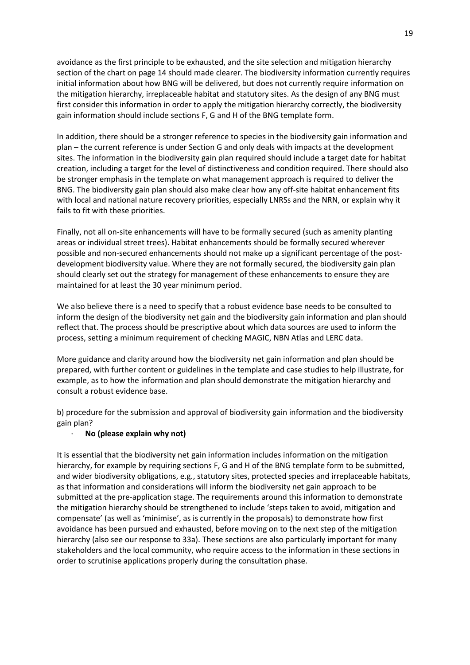avoidance as the first principle to be exhausted, and the site selection and mitigation hierarchy section of the chart on page 14 should made clearer. The biodiversity information currently requires initial information about how BNG will be delivered, but does not currently require information on the mitigation hierarchy, irreplaceable habitat and statutory sites. As the design of any BNG must first consider this information in order to apply the mitigation hierarchy correctly, the biodiversity gain information should include sections F, G and H of the BNG template form.

In addition, there should be a stronger reference to species in the biodiversity gain information and plan – the current reference is under Section G and only deals with impacts at the development sites. The information in the biodiversity gain plan required should include a target date for habitat creation, including a target for the level of distinctiveness and condition required. There should also be stronger emphasis in the template on what management approach is required to deliver the BNG. The biodiversity gain plan should also make clear how any off-site habitat enhancement fits with local and national nature recovery priorities, especially LNRSs and the NRN, or explain why it fails to fit with these priorities.

Finally, not all on-site enhancements will have to be formally secured (such as amenity planting areas or individual street trees). Habitat enhancements should be formally secured wherever possible and non-secured enhancements should not make up a significant percentage of the postdevelopment biodiversity value. Where they are not formally secured, the biodiversity gain plan should clearly set out the strategy for management of these enhancements to ensure they are maintained for at least the 30 year minimum period.

We also believe there is a need to specify that a robust evidence base needs to be consulted to inform the design of the biodiversity net gain and the biodiversity gain information and plan should reflect that. The process should be prescriptive about which data sources are used to inform the process, setting a minimum requirement of checking MAGIC, NBN Atlas and LERC data.

More guidance and clarity around how the biodiversity net gain information and plan should be prepared, with further content or guidelines in the template and case studies to help illustrate, for example, as to how the information and plan should demonstrate the mitigation hierarchy and consult a robust evidence base.

b) procedure for the submission and approval of biodiversity gain information and the biodiversity gain plan?

### · **No (please explain why not)**

It is essential that the biodiversity net gain information includes information on the mitigation hierarchy, for example by requiring sections F, G and H of the BNG template form to be submitted, and wider biodiversity obligations, e.g., statutory sites, protected species and irreplaceable habitats, as that information and considerations will inform the biodiversity net gain approach to be submitted at the pre-application stage. The requirements around this information to demonstrate the mitigation hierarchy should be strengthened to include 'steps taken to avoid, mitigation and compensate' (as well as 'minimise', as is currently in the proposals) to demonstrate how first avoidance has been pursued and exhausted, before moving on to the next step of the mitigation hierarchy (also see our response to 33a). These sections are also particularly important for many stakeholders and the local community, who require access to the information in these sections in order to scrutinise applications properly during the consultation phase.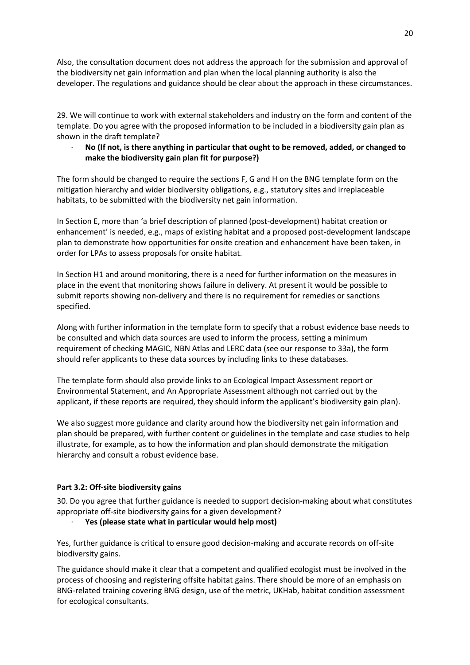Also, the consultation document does not address the approach for the submission and approval of the biodiversity net gain information and plan when the local planning authority is also the developer. The regulations and guidance should be clear about the approach in these circumstances.

29. We will continue to work with external stakeholders and industry on the form and content of the template. Do you agree with the proposed information to be included in a biodiversity gain plan as shown in the draft template?

· **No (If not, is there anything in particular that ought to be removed, added, or changed to make the biodiversity gain plan fit for purpose?)**

The form should be changed to require the sections F, G and H on the BNG template form on the mitigation hierarchy and wider biodiversity obligations, e.g., statutory sites and irreplaceable habitats, to be submitted with the biodiversity net gain information.

In Section E, more than 'a brief description of planned (post-development) habitat creation or enhancement' is needed, e.g., maps of existing habitat and a proposed post-development landscape plan to demonstrate how opportunities for onsite creation and enhancement have been taken, in order for LPAs to assess proposals for onsite habitat.

In Section H1 and around monitoring, there is a need for further information on the measures in place in the event that monitoring shows failure in delivery. At present it would be possible to submit reports showing non-delivery and there is no requirement for remedies or sanctions specified.

Along with further information in the template form to specify that a robust evidence base needs to be consulted and which data sources are used to inform the process, setting a minimum requirement of checking MAGIC, NBN Atlas and LERC data (see our response to 33a), the form should refer applicants to these data sources by including links to these databases.

The template form should also provide links to an Ecological Impact Assessment report or Environmental Statement, and An Appropriate Assessment although not carried out by the applicant, if these reports are required, they should inform the applicant's biodiversity gain plan).

We also suggest more guidance and clarity around how the biodiversity net gain information and plan should be prepared, with further content or guidelines in the template and case studies to help illustrate, for example, as to how the information and plan should demonstrate the mitigation hierarchy and consult a robust evidence base.

# **Part 3.2: Off-site biodiversity gains**

30. Do you agree that further guidance is needed to support decision-making about what constitutes appropriate off-site biodiversity gains for a given development?

· **Yes (please state what in particular would help most)**

Yes, further guidance is critical to ensure good decision-making and accurate records on off-site biodiversity gains.

The guidance should make it clear that a competent and qualified ecologist must be involved in the process of choosing and registering offsite habitat gains. There should be more of an emphasis on BNG-related training covering BNG design, use of the metric, UKHab, habitat condition assessment for ecological consultants.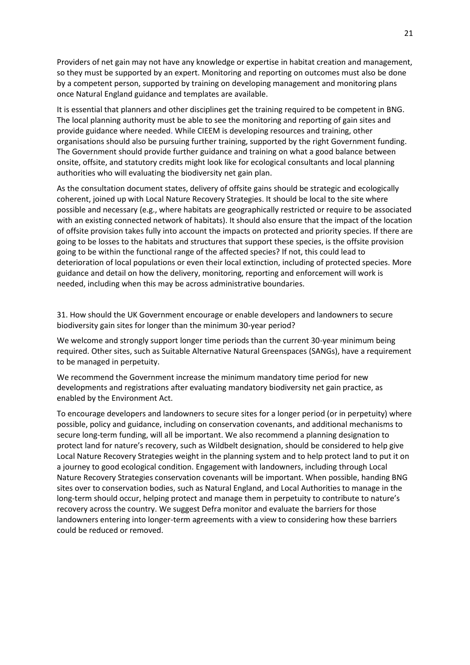Providers of net gain may not have any knowledge or expertise in habitat creation and management, so they must be supported by an expert. Monitoring and reporting on outcomes must also be done by a competent person, supported by training on developing management and monitoring plans once Natural England guidance and templates are available.

It is essential that planners and other disciplines get the training required to be competent in BNG. The local planning authority must be able to see the monitoring and reporting of gain sites and provide guidance where needed. While CIEEM is developing resources and training, other organisations should also be pursuing further training, supported by the right Government funding. The Government should provide further guidance and training on what a good balance between onsite, offsite, and statutory credits might look like for ecological consultants and local planning authorities who will evaluating the biodiversity net gain plan.

As the consultation document states, delivery of offsite gains should be strategic and ecologically coherent, joined up with Local Nature Recovery Strategies. It should be local to the site where possible and necessary (e.g., where habitats are geographically restricted or require to be associated with an existing connected network of habitats). It should also ensure that the impact of the location of offsite provision takes fully into account the impacts on protected and priority species. If there are going to be losses to the habitats and structures that support these species, is the offsite provision going to be within the functional range of the affected species? If not, this could lead to deterioration of local populations or even their local extinction, including of protected species. More guidance and detail on how the delivery, monitoring, reporting and enforcement will work is needed, including when this may be across administrative boundaries.

31. How should the UK Government encourage or enable developers and landowners to secure biodiversity gain sites for longer than the minimum 30-year period?

We welcome and strongly support longer time periods than the current 30-year minimum being required. Other sites, such as Suitable Alternative Natural Greenspaces (SANGs), have a requirement to be managed in perpetuity.

We recommend the Government increase the minimum mandatory time period for new developments and registrations after evaluating mandatory biodiversity net gain practice, as enabled by the Environment Act.

To encourage developers and landowners to secure sites for a longer period (or in perpetuity) where possible, policy and guidance, including on conservation covenants, and additional mechanisms to secure long-term funding, will all be important. We also recommend a planning designation to protect land for nature's recovery, such as Wildbelt designation, should be considered to help give Local Nature Recovery Strategies weight in the planning system and to help protect land to put it on a journey to good ecological condition. Engagement with landowners, including through Local Nature Recovery Strategies conservation covenants will be important. When possible, handing BNG sites over to conservation bodies, such as Natural England, and Local Authorities to manage in the long-term should occur, helping protect and manage them in perpetuity to contribute to nature's recovery across the country. We suggest Defra monitor and evaluate the barriers for those landowners entering into longer-term agreements with a view to considering how these barriers could be reduced or removed.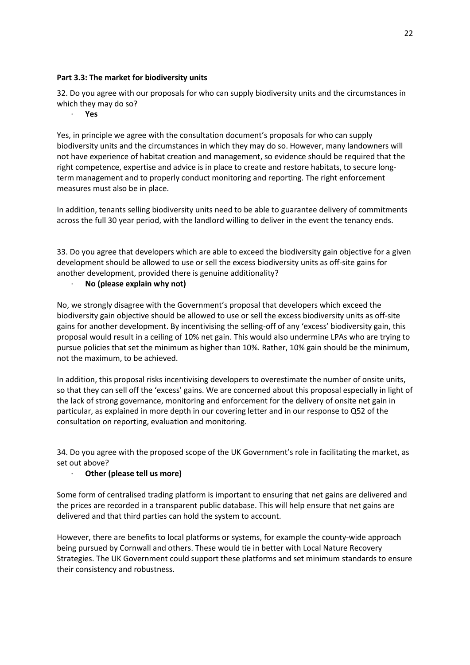# **Part 3.3: The market for biodiversity units**

32. Do you agree with our proposals for who can supply biodiversity units and the circumstances in which they may do so?

· **Yes**

Yes, in principle we agree with the consultation document's proposals for who can supply biodiversity units and the circumstances in which they may do so. However, many landowners will not have experience of habitat creation and management, so evidence should be required that the right competence, expertise and advice is in place to create and restore habitats, to secure longterm management and to properly conduct monitoring and reporting. The right enforcement measures must also be in place.

In addition, tenants selling biodiversity units need to be able to guarantee delivery of commitments across the full 30 year period, with the landlord willing to deliver in the event the tenancy ends.

33. Do you agree that developers which are able to exceed the biodiversity gain objective for a given development should be allowed to use or sell the excess biodiversity units as off-site gains for another development, provided there is genuine additionality?

## · **No (please explain why not)**

No, we strongly disagree with the Government's proposal that developers which exceed the biodiversity gain objective should be allowed to use or sell the excess biodiversity units as off-site gains for another development. By incentivising the selling-off of any 'excess' biodiversity gain, this proposal would result in a ceiling of 10% net gain. This would also undermine LPAs who are trying to pursue policies that set the minimum as higher than 10%. Rather, 10% gain should be the minimum, not the maximum, to be achieved.

In addition, this proposal risks incentivising developers to overestimate the number of onsite units, so that they can sell off the 'excess' gains. We are concerned about this proposal especially in light of the lack of strong governance, monitoring and enforcement for the delivery of onsite net gain in particular, as explained in more depth in our covering letter and in our response to Q52 of the consultation on reporting, evaluation and monitoring.

34. Do you agree with the proposed scope of the UK Government's role in facilitating the market, as set out above?

# · **Other (please tell us more)**

Some form of centralised trading platform is important to ensuring that net gains are delivered and the prices are recorded in a transparent public database. This will help ensure that net gains are delivered and that third parties can hold the system to account.

However, there are benefits to local platforms or systems, for example the county-wide approach being pursued by Cornwall and others. These would tie in better with Local Nature Recovery Strategies. The UK Government could support these platforms and set minimum standards to ensure their consistency and robustness.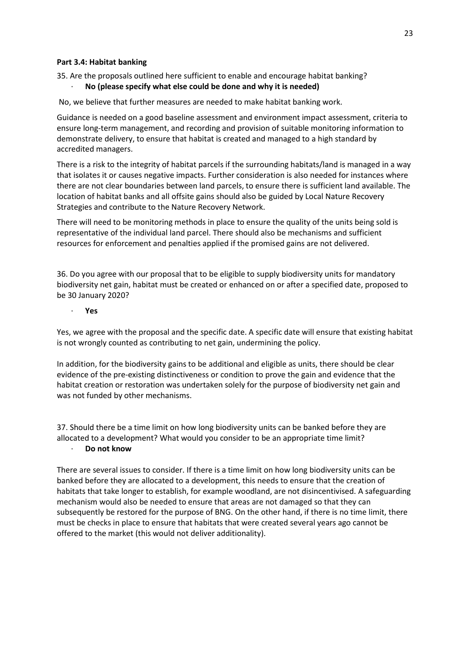#### **Part 3.4: Habitat banking**

## 35. Are the proposals outlined here sufficient to enable and encourage habitat banking?

## · **No (please specify what else could be done and why it is needed)**

No, we believe that further measures are needed to make habitat banking work.

Guidance is needed on a good baseline assessment and environment impact assessment, criteria to ensure long-term management, and recording and provision of suitable monitoring information to demonstrate delivery, to ensure that habitat is created and managed to a high standard by accredited managers.

There is a risk to the integrity of habitat parcels if the surrounding habitats/land is managed in a way that isolates it or causes negative impacts. Further consideration is also needed for instances where there are not clear boundaries between land parcels, to ensure there is sufficient land available. The location of habitat banks and all offsite gains should also be guided by Local Nature Recovery Strategies and contribute to the Nature Recovery Network.

There will need to be monitoring methods in place to ensure the quality of the units being sold is representative of the individual land parcel. There should also be mechanisms and sufficient resources for enforcement and penalties applied if the promised gains are not delivered.

36. Do you agree with our proposal that to be eligible to supply biodiversity units for mandatory biodiversity net gain, habitat must be created or enhanced on or after a specified date, proposed to be 30 January 2020?

· **Yes**

Yes, we agree with the proposal and the specific date. A specific date will ensure that existing habitat is not wrongly counted as contributing to net gain, undermining the policy.

In addition, for the biodiversity gains to be additional and eligible as units, there should be clear evidence of the pre-existing distinctiveness or condition to prove the gain and evidence that the habitat creation or restoration was undertaken solely for the purpose of biodiversity net gain and was not funded by other mechanisms.

37. Should there be a time limit on how long biodiversity units can be banked before they are allocated to a development? What would you consider to be an appropriate time limit? · **Do not know**

There are several issues to consider. If there is a time limit on how long biodiversity units can be banked before they are allocated to a development, this needs to ensure that the creation of habitats that take longer to establish, for example woodland, are not disincentivised. A safeguarding mechanism would also be needed to ensure that areas are not damaged so that they can subsequently be restored for the purpose of BNG. On the other hand, if there is no time limit, there must be checks in place to ensure that habitats that were created several years ago cannot be offered to the market (this would not deliver additionality).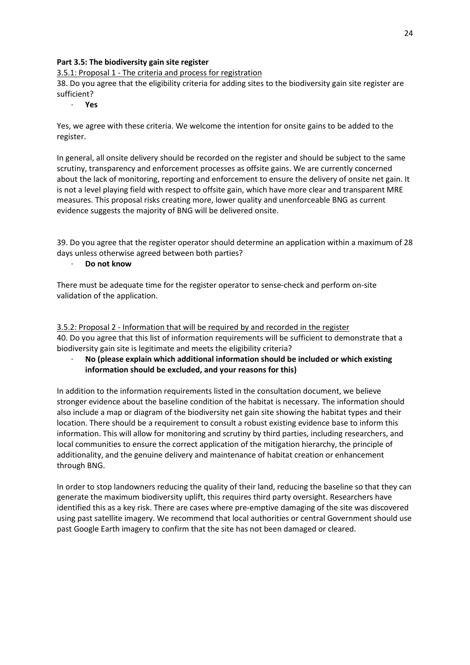## **Part 3.5: The biodiversity gain site register**

3.5.1: Proposal 1 - The criteria and process for registration

38. Do you agree that the eligibility criteria for adding sites to the biodiversity gain site register are sufficient?

· **Yes**

Yes, we agree with these criteria. We welcome the intention for onsite gains to be added to the register.

In general, all onsite delivery should be recorded on the register and should be subject to the same scrutiny, transparency and enforcement processes as offsite gains. We are currently concerned about the lack of monitoring, reporting and enforcement to ensure the delivery of onsite net gain. It is not a level playing field with respect to offsite gain, which have more clear and transparent MRE measures. This proposal risks creating more, lower quality and unenforceable BNG as current evidence suggests the majority of BNG will be delivered onsite.

39. Do you agree that the register operator should determine an application within a maximum of 28 days unless otherwise agreed between both parties?

· **Do not know**

There must be adequate time for the register operator to sense-check and perform on-site validation of the application.

3.5.2: Proposal 2 - Information that will be required by and recorded in the register 40. Do you agree that this list of information requirements will be sufficient to demonstrate that a biodiversity gain site is legitimate and meets the eligibility criteria?

· **No (please explain which additional information should be included or which existing information should be excluded, and your reasons for this)**

In addition to the information requirements listed in the consultation document, we believe stronger evidence about the baseline condition of the habitat is necessary. The information should also include a map or diagram of the biodiversity net gain site showing the habitat types and their location. There should be a requirement to consult a robust existing evidence base to inform this information. This will allow for monitoring and scrutiny by third parties, including researchers, and local communities to ensure the correct application of the mitigation hierarchy, the principle of additionality, and the genuine delivery and maintenance of habitat creation or enhancement through BNG.

In order to stop landowners reducing the quality of their land, reducing the baseline so that they can generate the maximum biodiversity uplift, this requires third party oversight. Researchers have identified this as a key risk. There are cases where pre-emptive damaging of the site was discovered using past satellite imagery. We recommend that local authorities or central Government should use past Google Earth imagery to confirm that the site has not been damaged or cleared.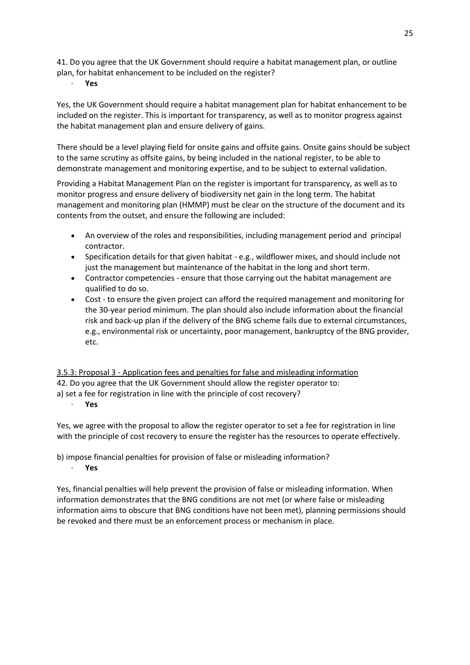41. Do you agree that the UK Government should require a habitat management plan, or outline plan, for habitat enhancement to be included on the register?

· **Yes**

Yes, the UK Government should require a habitat management plan for habitat enhancement to be included on the register. This is important for transparency, as well as to monitor progress against the habitat management plan and ensure delivery of gains.

There should be a level playing field for onsite gains and offsite gains. Onsite gains should be subject to the same scrutiny as offsite gains, by being included in the national register, to be able to demonstrate management and monitoring expertise, and to be subject to external validation.

Providing a Habitat Management Plan on the register is important for transparency, as well as to monitor progress and ensure delivery of biodiversity net gain in the long term. The habitat management and monitoring plan (HMMP) must be clear on the structure of the document and its contents from the outset, and ensure the following are included:

- An overview of the roles and responsibilities, including management period and principal contractor.
- Specification details for that given habitat e.g., wildflower mixes, and should include not just the management but maintenance of the habitat in the long and short term.
- Contractor competencies ensure that those carrying out the habitat management are qualified to do so.
- Cost to ensure the given project can afford the required management and monitoring for the 30-year period minimum. The plan should also include information about the financial risk and back-up plan if the delivery of the BNG scheme fails due to external circumstances, e.g., environmental risk or uncertainty, poor management, bankruptcy of the BNG provider, etc.

3.5.3: Proposal 3 - Application fees and penalties for false and misleading information 42. Do you agree that the UK Government should allow the register operator to:

a) set a fee for registration in line with the principle of cost recovery?

· **Yes**

Yes, we agree with the proposal to allow the register operator to set a fee for registration in line with the principle of cost recovery to ensure the register has the resources to operate effectively.

### b) impose financial penalties for provision of false or misleading information? · **Yes**

Yes, financial penalties will help prevent the provision of false or misleading information. When information demonstrates that the BNG conditions are not met (or where false or misleading information aims to obscure that BNG conditions have not been met), planning permissions should be revoked and there must be an enforcement process or mechanism in place.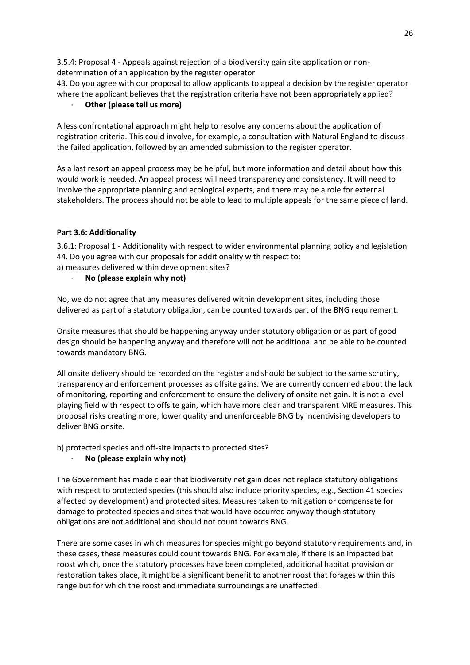3.5.4: Proposal 4 - Appeals against rejection of a biodiversity gain site application or nondetermination of an application by the register operator

43. Do you agree with our proposal to allow applicants to appeal a decision by the register operator where the applicant believes that the registration criteria have not been appropriately applied?

· **Other (please tell us more)**

A less confrontational approach might help to resolve any concerns about the application of registration criteria. This could involve, for example, a consultation with Natural England to discuss the failed application, followed by an amended submission to the register operator.

As a last resort an appeal process may be helpful, but more information and detail about how this would work is needed. An appeal process will need transparency and consistency. It will need to involve the appropriate planning and ecological experts, and there may be a role for external stakeholders. The process should not be able to lead to multiple appeals for the same piece of land.

# **Part 3.6: Additionality**

3.6.1: Proposal 1 - Additionality with respect to wider environmental planning policy and legislation 44. Do you agree with our proposals for additionality with respect to: a) measures delivered within development sites?

· **No (please explain why not)**

No, we do not agree that any measures delivered within development sites, including those delivered as part of a statutory obligation, can be counted towards part of the BNG requirement.

Onsite measures that should be happening anyway under statutory obligation or as part of good design should be happening anyway and therefore will not be additional and be able to be counted towards mandatory BNG.

All onsite delivery should be recorded on the register and should be subject to the same scrutiny, transparency and enforcement processes as offsite gains. We are currently concerned about the lack of monitoring, reporting and enforcement to ensure the delivery of onsite net gain. It is not a level playing field with respect to offsite gain, which have more clear and transparent MRE measures. This proposal risks creating more, lower quality and unenforceable BNG by incentivising developers to deliver BNG onsite.

b) protected species and off-site impacts to protected sites?

# · **No (please explain why not)**

The Government has made clear that biodiversity net gain does not replace statutory obligations with respect to protected species (this should also include priority species, e.g., Section 41 species affected by development) and protected sites. Measures taken to mitigation or compensate for damage to protected species and sites that would have occurred anyway though statutory obligations are not additional and should not count towards BNG.

There are some cases in which measures for species might go beyond statutory requirements and, in these cases, these measures could count towards BNG. For example, if there is an impacted bat roost which, once the statutory processes have been completed, additional habitat provision or restoration takes place, it might be a significant benefit to another roost that forages within this range but for which the roost and immediate surroundings are unaffected.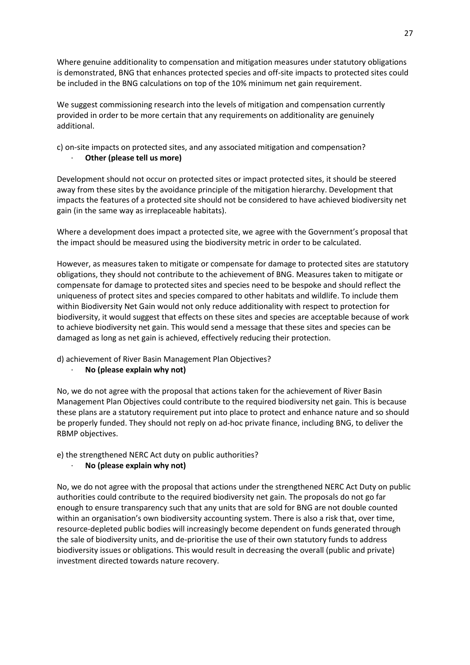Where genuine additionality to compensation and mitigation measures under statutory obligations is demonstrated, BNG that enhances protected species and off-site impacts to protected sites could be included in the BNG calculations on top of the 10% minimum net gain requirement.

We suggest commissioning research into the levels of mitigation and compensation currently provided in order to be more certain that any requirements on additionality are genuinely additional.

# c) on-site impacts on protected sites, and any associated mitigation and compensation? · **Other (please tell us more)**

Development should not occur on protected sites or impact protected sites, it should be steered away from these sites by the avoidance principle of the mitigation hierarchy. Development that impacts the features of a protected site should not be considered to have achieved biodiversity net gain (in the same way as irreplaceable habitats).

Where a development does impact a protected site, we agree with the Government's proposal that the impact should be measured using the biodiversity metric in order to be calculated.

However, as measures taken to mitigate or compensate for damage to protected sites are statutory obligations, they should not contribute to the achievement of BNG. Measures taken to mitigate or compensate for damage to protected sites and species need to be bespoke and should reflect the uniqueness of protect sites and species compared to other habitats and wildlife. To include them within Biodiversity Net Gain would not only reduce additionality with respect to protection for biodiversity, it would suggest that effects on these sites and species are acceptable because of work to achieve biodiversity net gain. This would send a message that these sites and species can be damaged as long as net gain is achieved, effectively reducing their protection.

# d) achievement of River Basin Management Plan Objectives?

### · **No (please explain why not)**

No, we do not agree with the proposal that actions taken for the achievement of River Basin Management Plan Objectives could contribute to the required biodiversity net gain. This is because these plans are a statutory requirement put into place to protect and enhance nature and so should be properly funded. They should not reply on ad-hoc private finance, including BNG, to deliver the RBMP objectives.

# e) the strengthened NERC Act duty on public authorities?

# · **No (please explain why not)**

No, we do not agree with the proposal that actions under the strengthened NERC Act Duty on public authorities could contribute to the required biodiversity net gain. The proposals do not go far enough to ensure transparency such that any units that are sold for BNG are not double counted within an organisation's own biodiversity accounting system. There is also a risk that, over time, resource-depleted public bodies will increasingly become dependent on funds generated through the sale of biodiversity units, and de-prioritise the use of their own statutory funds to address biodiversity issues or obligations. This would result in decreasing the overall (public and private) investment directed towards nature recovery.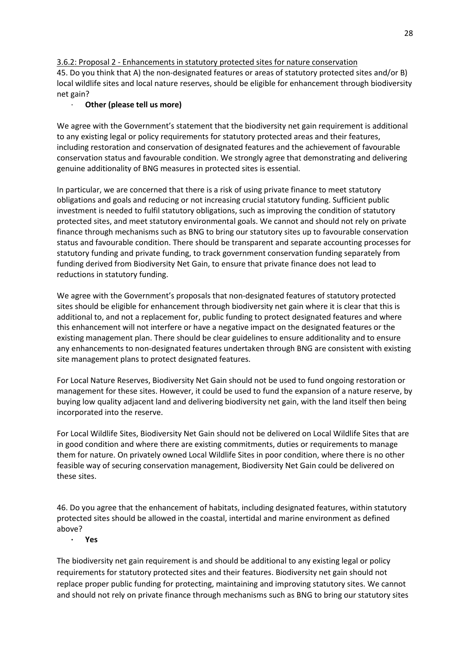# 3.6.2: Proposal 2 - Enhancements in statutory protected sites for nature conservation

45. Do you think that A) the non-designated features or areas of statutory protected sites and/or B) local wildlife sites and local nature reserves, should be eligible for enhancement through biodiversity net gain?

# · **Other (please tell us more)**

We agree with the Government's statement that the biodiversity net gain requirement is additional to any existing legal or policy requirements for statutory protected areas and their features, including restoration and conservation of designated features and the achievement of favourable conservation status and favourable condition. We strongly agree that demonstrating and delivering genuine additionality of BNG measures in protected sites is essential.

In particular, we are concerned that there is a risk of using private finance to meet statutory obligations and goals and reducing or not increasing crucial statutory funding. Sufficient public investment is needed to fulfil statutory obligations, such as improving the condition of statutory protected sites, and meet statutory environmental goals. We cannot and should not rely on private finance through mechanisms such as BNG to bring our statutory sites up to favourable conservation status and favourable condition. There should be transparent and separate accounting processes for statutory funding and private funding, to track government conservation funding separately from funding derived from Biodiversity Net Gain, to ensure that private finance does not lead to reductions in statutory funding.

We agree with the Government's proposals that non-designated features of statutory protected sites should be eligible for enhancement through biodiversity net gain where it is clear that this is additional to, and not a replacement for, public funding to protect designated features and where this enhancement will not interfere or have a negative impact on the designated features or the existing management plan. There should be clear guidelines to ensure additionality and to ensure any enhancements to non-designated features undertaken through BNG are consistent with existing site management plans to protect designated features.

For Local Nature Reserves, Biodiversity Net Gain should not be used to fund ongoing restoration or management for these sites. However, it could be used to fund the expansion of a nature reserve, by buying low quality adjacent land and delivering biodiversity net gain, with the land itself then being incorporated into the reserve.

For Local Wildlife Sites, Biodiversity Net Gain should not be delivered on Local Wildlife Sites that are in good condition and where there are existing commitments, duties or requirements to manage them for nature. On privately owned Local Wildlife Sites in poor condition, where there is no other feasible way of securing conservation management, Biodiversity Net Gain could be delivered on these sites.

46. Do you agree that the enhancement of habitats, including designated features, within statutory protected sites should be allowed in the coastal, intertidal and marine environment as defined above?

**· Yes**

The biodiversity net gain requirement is and should be additional to any existing legal or policy requirements for statutory protected sites and their features. Biodiversity net gain should not replace proper public funding for protecting, maintaining and improving statutory sites. We cannot and should not rely on private finance through mechanisms such as BNG to bring our statutory sites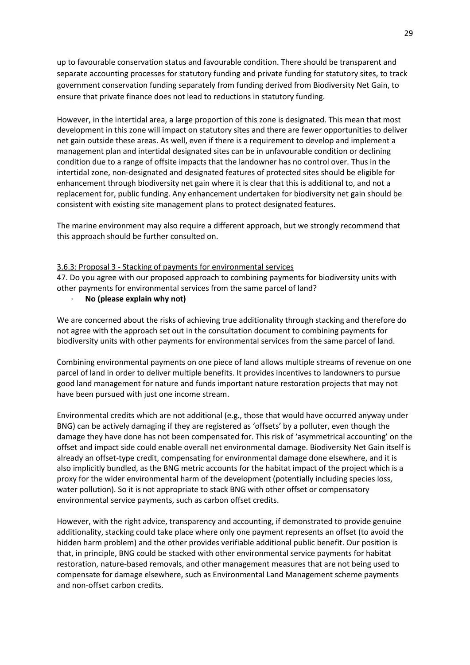up to favourable conservation status and favourable condition. There should be transparent and separate accounting processes for statutory funding and private funding for statutory sites, to track government conservation funding separately from funding derived from Biodiversity Net Gain, to ensure that private finance does not lead to reductions in statutory funding.

However, in the intertidal area, a large proportion of this zone is designated. This mean that most development in this zone will impact on statutory sites and there are fewer opportunities to deliver net gain outside these areas. As well, even if there is a requirement to develop and implement a management plan and intertidal designated sites can be in unfavourable condition or declining condition due to a range of offsite impacts that the landowner has no control over. Thus in the intertidal zone, non-designated and designated features of protected sites should be eligible for enhancement through biodiversity net gain where it is clear that this is additional to, and not a replacement for, public funding. Any enhancement undertaken for biodiversity net gain should be consistent with existing site management plans to protect designated features.

The marine environment may also require a different approach, but we strongly recommend that this approach should be further consulted on.

#### 3.6.3: Proposal 3 - Stacking of payments for environmental services

47. Do you agree with our proposed approach to combining payments for biodiversity units with other payments for environmental services from the same parcel of land?

· **No (please explain why not)**

We are concerned about the risks of achieving true additionality through stacking and therefore do not agree with the approach set out in the consultation document to combining payments for biodiversity units with other payments for environmental services from the same parcel of land.

Combining environmental payments on one piece of land allows multiple streams of revenue on one parcel of land in order to deliver multiple benefits. It provides incentives to landowners to pursue good land management for nature and funds important nature restoration projects that may not have been pursued with just one income stream.

Environmental credits which are not additional (e.g., those that would have occurred anyway under BNG) can be actively damaging if they are registered as 'offsets' by a polluter, even though the damage they have done has not been compensated for. This risk of 'asymmetrical accounting' on the offset and impact side could enable overall net environmental damage. Biodiversity Net Gain itself is already an offset-type credit, compensating for environmental damage done elsewhere, and it is also implicitly bundled, as the BNG metric accounts for the habitat impact of the project which is a proxy for the wider environmental harm of the development (potentially including species loss, water pollution). So it is not appropriate to stack BNG with other offset or compensatory environmental service payments, such as carbon offset credits.

However, with the right advice, transparency and accounting, if demonstrated to provide genuine additionality, stacking could take place where only one payment represents an offset (to avoid the hidden harm problem) and the other provides verifiable additional public benefit. Our position is that, in principle, BNG could be stacked with other environmental service payments for habitat restoration, nature-based removals, and other management measures that are not being used to compensate for damage elsewhere, such as Environmental Land Management scheme payments and non-offset carbon credits.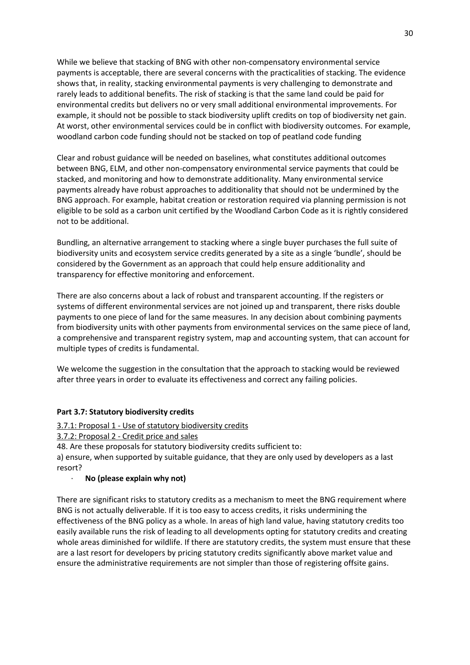While we believe that stacking of BNG with other non-compensatory environmental service payments is acceptable, there are several concerns with the practicalities of stacking. The evidence shows that, in reality, stacking environmental payments is very challenging to demonstrate and rarely leads to additional benefits. The risk of stacking is that the same land could be paid for environmental credits but delivers no or very small additional environmental improvements. For example, it should not be possible to stack biodiversity uplift credits on top of biodiversity net gain. At worst, other environmental services could be in conflict with biodiversity outcomes. For example, woodland carbon code funding should not be stacked on top of peatland code funding

Clear and robust guidance will be needed on baselines, what constitutes additional outcomes between BNG, ELM, and other non-compensatory environmental service payments that could be stacked, and monitoring and how to demonstrate additionality. Many environmental service payments already have robust approaches to additionality that should not be undermined by the BNG approach. For example, habitat creation or restoration required via planning permission is not eligible to be sold as a carbon unit certified by the Woodland Carbon Code as it is rightly considered not to be additional.

Bundling, an alternative arrangement to stacking where a single buyer purchases the full suite of biodiversity units and ecosystem service credits generated by a site as a single 'bundle', should be considered by the Government as an approach that could help ensure additionality and transparency for effective monitoring and enforcement.

There are also concerns about a lack of robust and transparent accounting. If the registers or systems of different environmental services are not joined up and transparent, there risks double payments to one piece of land for the same measures. In any decision about combining payments from biodiversity units with other payments from environmental services on the same piece of land, a comprehensive and transparent registry system, map and accounting system, that can account for multiple types of credits is fundamental.

We welcome the suggestion in the consultation that the approach to stacking would be reviewed after three years in order to evaluate its effectiveness and correct any failing policies.

#### **Part 3.7: Statutory biodiversity credits**

3.7.1: Proposal 1 - Use of statutory biodiversity credits

3.7.2: Proposal 2 - Credit price and sales

48. Are these proposals for statutory biodiversity credits sufficient to:

a) ensure, when supported by suitable guidance, that they are only used by developers as a last resort?

#### · **No (please explain why not)**

There are significant risks to statutory credits as a mechanism to meet the BNG requirement where BNG is not actually deliverable. If it is too easy to access credits, it risks undermining the effectiveness of the BNG policy as a whole. In areas of high land value, having statutory credits too easily available runs the risk of leading to all developments opting for statutory credits and creating whole areas diminished for wildlife. If there are statutory credits, the system must ensure that these are a last resort for developers by pricing statutory credits significantly above market value and ensure the administrative requirements are not simpler than those of registering offsite gains.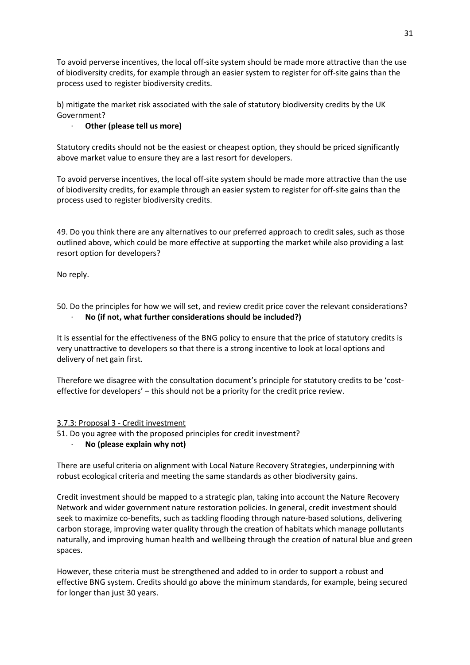To avoid perverse incentives, the local off-site system should be made more attractive than the use of biodiversity credits, for example through an easier system to register for off-site gains than the process used to register biodiversity credits.

b) mitigate the market risk associated with the sale of statutory biodiversity credits by the UK Government?

# · **Other (please tell us more)**

Statutory credits should not be the easiest or cheapest option, they should be priced significantly above market value to ensure they are a last resort for developers.

To avoid perverse incentives, the local off-site system should be made more attractive than the use of biodiversity credits, for example through an easier system to register for off-site gains than the process used to register biodiversity credits.

49. Do you think there are any alternatives to our preferred approach to credit sales, such as those outlined above, which could be more effective at supporting the market while also providing a last resort option for developers?

No reply.

50. Do the principles for how we will set, and review credit price cover the relevant considerations? · **No (if not, what further considerations should be included?)**

It is essential for the effectiveness of the BNG policy to ensure that the price of statutory credits is very unattractive to developers so that there is a strong incentive to look at local options and delivery of net gain first.

Therefore we disagree with the consultation document's principle for statutory credits to be 'costeffective for developers' – this should not be a priority for the credit price review.

# 3.7.3: Proposal 3 - Credit investment

51. Do you agree with the proposed principles for credit investment?

· **No (please explain why not)**

There are useful criteria on alignment with Local Nature Recovery Strategies, underpinning with robust ecological criteria and meeting the same standards as other biodiversity gains.

Credit investment should be mapped to a strategic plan, taking into account the Nature Recovery Network and wider government nature restoration policies. In general, credit investment should seek to maximize co-benefits, such as tackling flooding through nature-based solutions, delivering carbon storage, improving water quality through the creation of habitats which manage pollutants naturally, and improving human health and wellbeing through the creation of natural blue and green spaces.

However, these criteria must be strengthened and added to in order to support a robust and effective BNG system. Credits should go above the minimum standards, for example, being secured for longer than just 30 years.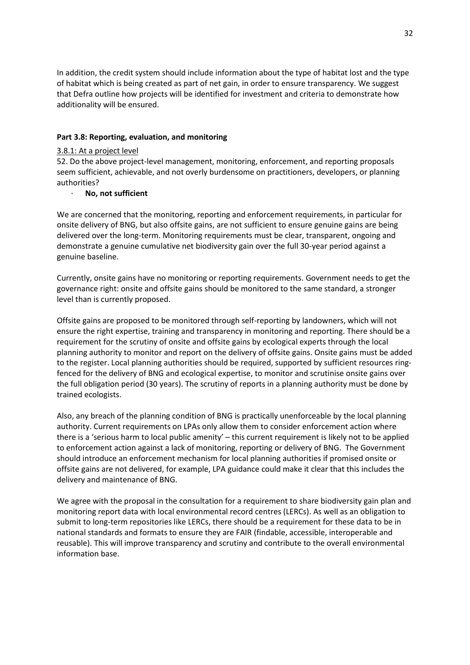In addition, the credit system should include information about the type of habitat lost and the type of habitat which is being created as part of net gain, in order to ensure transparency. We suggest that Defra outline how projects will be identified for investment and criteria to demonstrate how additionality will be ensured.

## **Part 3.8: Reporting, evaluation, and monitoring**

### 3.8.1: At a project level

52. Do the above project-level management, monitoring, enforcement, and reporting proposals seem sufficient, achievable, and not overly burdensome on practitioners, developers, or planning authorities?

# · **No, not sufficient**

We are concerned that the monitoring, reporting and enforcement requirements, in particular for onsite delivery of BNG, but also offsite gains, are not sufficient to ensure genuine gains are being delivered over the long-term. Monitoring requirements must be clear, transparent, ongoing and demonstrate a genuine cumulative net biodiversity gain over the full 30-year period against a genuine baseline.

Currently, onsite gains have no monitoring or reporting requirements. Government needs to get the governance right: onsite and offsite gains should be monitored to the same standard, a stronger level than is currently proposed.

Offsite gains are proposed to be monitored through self-reporting by landowners, which will not ensure the right expertise, training and transparency in monitoring and reporting. There should be a requirement for the scrutiny of onsite and offsite gains by ecological experts through the local planning authority to monitor and report on the delivery of offsite gains. Onsite gains must be added to the register. Local planning authorities should be required, supported by sufficient resources ringfenced for the delivery of BNG and ecological expertise, to monitor and scrutinise onsite gains over the full obligation period (30 years). The scrutiny of reports in a planning authority must be done by trained ecologists.

Also, any breach of the planning condition of BNG is practically unenforceable by the local planning authority. Current requirements on LPAs only allow them to consider enforcement action where there is a 'serious harm to local public amenity' – this current requirement is likely not to be applied to enforcement action against a lack of monitoring, reporting or delivery of BNG. The Government should introduce an enforcement mechanism for local planning authorities if promised onsite or offsite gains are not delivered, for example, LPA guidance could make it clear that this includes the delivery and maintenance of BNG.

We agree with the proposal in the consultation for a requirement to share biodiversity gain plan and monitoring report data with local environmental record centres (LERCs). As well as an obligation to submit to long-term repositories like LERCs, there should be a requirement for these data to be in national standards and formats to ensure they are FAIR (findable, accessible, interoperable and reusable). This will improve transparency and scrutiny and contribute to the overall environmental information base.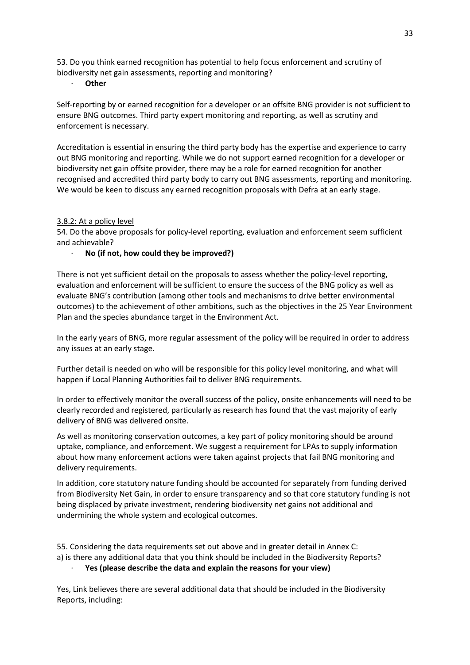53. Do you think earned recognition has potential to help focus enforcement and scrutiny of biodiversity net gain assessments, reporting and monitoring?

· **Other**

Self-reporting by or earned recognition for a developer or an offsite BNG provider is not sufficient to ensure BNG outcomes. Third party expert monitoring and reporting, as well as scrutiny and enforcement is necessary.

Accreditation is essential in ensuring the third party body has the expertise and experience to carry out BNG monitoring and reporting. While we do not support earned recognition for a developer or biodiversity net gain offsite provider, there may be a role for earned recognition for another recognised and accredited third party body to carry out BNG assessments, reporting and monitoring. We would be keen to discuss any earned recognition proposals with Defra at an early stage.

### 3.8.2: At a policy level

54. Do the above proposals for policy-level reporting, evaluation and enforcement seem sufficient and achievable?

#### · **No (if not, how could they be improved?)**

There is not yet sufficient detail on the proposals to assess whether the policy-level reporting, evaluation and enforcement will be sufficient to ensure the success of the BNG policy as well as evaluate BNG's contribution (among other tools and mechanisms to drive better environmental outcomes) to the achievement of other ambitions, such as the objectives in the 25 Year Environment Plan and the species abundance target in the Environment Act.

In the early years of BNG, more regular assessment of the policy will be required in order to address any issues at an early stage.

Further detail is needed on who will be responsible for this policy level monitoring, and what will happen if Local Planning Authorities fail to deliver BNG requirements.

In order to effectively monitor the overall success of the policy, onsite enhancements will need to be clearly recorded and registered, particularly as research has found that the vast majority of early delivery of BNG was delivered onsite.

As well as monitoring conservation outcomes, a key part of policy monitoring should be around uptake, compliance, and enforcement. We suggest a requirement for LPAs to supply information about how many enforcement actions were taken against projects that fail BNG monitoring and delivery requirements.

In addition, core statutory nature funding should be accounted for separately from funding derived from Biodiversity Net Gain, in order to ensure transparency and so that core statutory funding is not being displaced by private investment, rendering biodiversity net gains not additional and undermining the whole system and ecological outcomes.

55. Considering the data requirements set out above and in greater detail in Annex C: a) is there any additional data that you think should be included in the Biodiversity Reports? · **Yes (please describe the data and explain the reasons for your view)**

Yes, Link believes there are several additional data that should be included in the Biodiversity Reports, including: